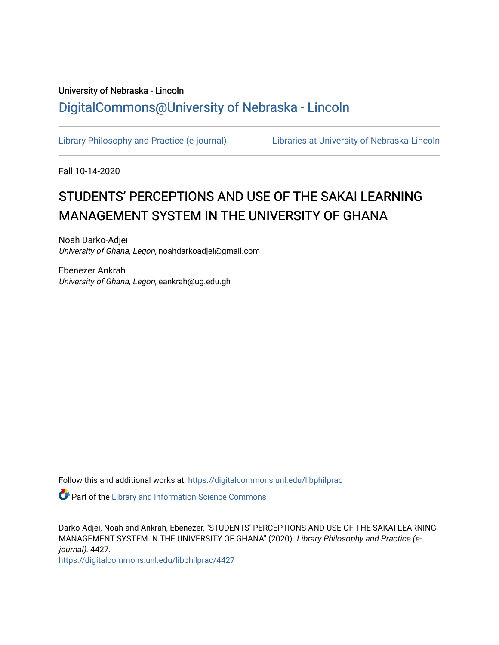# University of Nebraska - Lincoln [DigitalCommons@University of Nebraska - Lincoln](https://digitalcommons.unl.edu/)

[Library Philosophy and Practice \(e-journal\)](https://digitalcommons.unl.edu/libphilprac) [Libraries at University of Nebraska-Lincoln](https://digitalcommons.unl.edu/libraries) 

Fall 10-14-2020

# STUDENTS' PERCEPTIONS AND USE OF THE SAKAI LEARNING MANAGEMENT SYSTEM IN THE UNIVERSITY OF GHANA

Noah Darko-Adjei University of Ghana, Legon, noahdarkoadjei@gmail.com

Ebenezer Ankrah University of Ghana, Legon, eankrah@ug.edu.gh

Follow this and additional works at: [https://digitalcommons.unl.edu/libphilprac](https://digitalcommons.unl.edu/libphilprac?utm_source=digitalcommons.unl.edu%2Flibphilprac%2F4427&utm_medium=PDF&utm_campaign=PDFCoverPages) 

**P** Part of the Library and Information Science Commons

Darko-Adjei, Noah and Ankrah, Ebenezer, "STUDENTS' PERCEPTIONS AND USE OF THE SAKAI LEARNING MANAGEMENT SYSTEM IN THE UNIVERSITY OF GHANA" (2020). Library Philosophy and Practice (ejournal). 4427.

[https://digitalcommons.unl.edu/libphilprac/4427](https://digitalcommons.unl.edu/libphilprac/4427?utm_source=digitalcommons.unl.edu%2Flibphilprac%2F4427&utm_medium=PDF&utm_campaign=PDFCoverPages)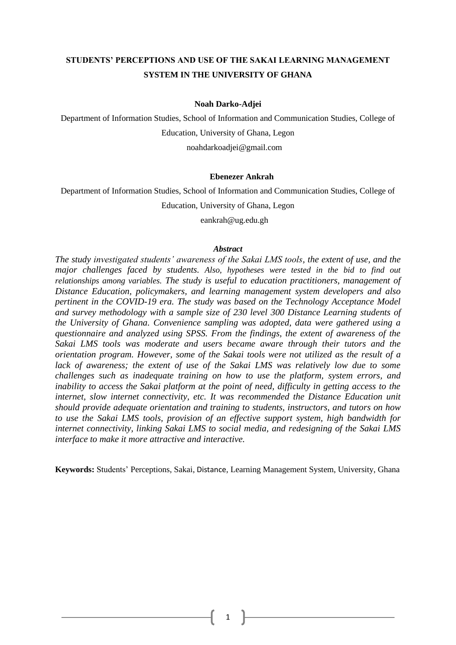# **STUDENTS' PERCEPTIONS AND USE OF THE SAKAI LEARNING MANAGEMENT SYSTEM IN THE UNIVERSITY OF GHANA**

#### **Noah Darko-Adjei**

Department of Information Studies, School of Information and Communication Studies, College of Education, University of Ghana, Legon

[noahdarkoadjei@gmail.com](mailto:noahdarkoadjei@gmail.com)

#### **Ebenezer Ankrah**

Department of Information Studies, School of Information and Communication Studies, College of

Education, University of Ghana, Legon

[eankrah@ug.edu.gh](mailto:eankrah@ug.edu.gh)

#### *Abstract*

*The study investigated students' awareness of the Sakai LMS tools, the extent of use, and the major challenges faced by students. Also, hypotheses were tested in the bid to find out relationships among variables. The study is useful to education practitioners, management of Distance Education, policymakers, and learning management system developers and also pertinent in the COVID-19 era. The study was based on the Technology Acceptance Model and survey methodology with a sample size of 230 level 300 Distance Learning students of the University of Ghana. Convenience sampling was adopted, data were gathered using a questionnaire and analyzed using SPSS. From the findings, the extent of awareness of the Sakai LMS tools was moderate and users became aware through their tutors and the orientation program. However, some of the Sakai tools were not utilized as the result of a*  lack of awareness; the extent of use of the Sakai LMS was relatively low due to some *challenges such as inadequate training on how to use the platform, system errors, and inability to access the Sakai platform at the point of need, difficulty in getting access to the internet, slow internet connectivity, etc. It was recommended the Distance Education unit should provide adequate orientation and training to students, instructors, and tutors on how to use the Sakai LMS tools, provision of an effective support system, high bandwidth for internet connectivity, linking Sakai LMS to social media, and redesigning of the Sakai LMS interface to make it more attractive and interactive.* 

**Keywords:** Students' Perceptions, Sakai, Distance, Learning Management System, University, Ghana

1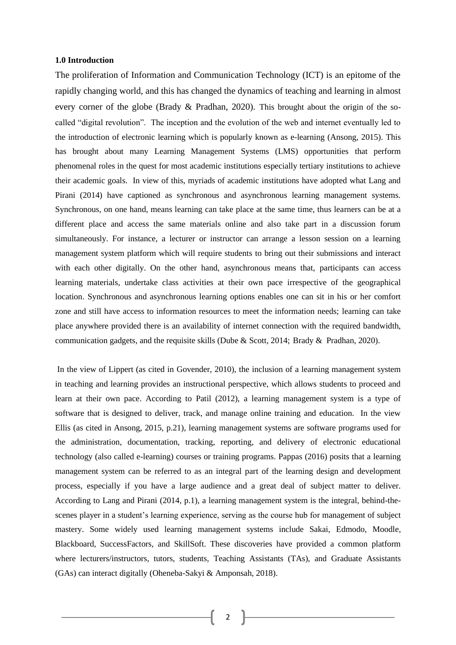#### **1.0 Introduction**

The proliferation of Information and Communication Technology (ICT) is an epitome of the rapidly changing world, and this has changed the dynamics of teaching and learning in almost every corner of the globe (Brady & Pradhan, 2020). This brought about the origin of the socalled "digital revolution". The inception and the evolution of the web and internet eventually led to the introduction of electronic learning which is popularly known as e-learning (Ansong, 2015). This has brought about many Learning Management Systems (LMS) opportunities that perform phenomenal roles in the quest for most academic institutions especially tertiary institutions to achieve their academic goals. In view of this, myriads of academic institutions have adopted what Lang and Pirani (2014) have captioned as synchronous and asynchronous learning management systems. Synchronous, on one hand, means learning can take place at the same time, thus learners can be at a different place and access the same materials online and also take part in a discussion forum simultaneously. For instance, a lecturer or instructor can arrange a lesson session on a learning management system platform which will require students to bring out their submissions and interact with each other digitally. On the other hand, asynchronous means that, participants can access learning materials, undertake class activities at their own pace irrespective of the geographical location. Synchronous and asynchronous learning options enables one can sit in his or her comfort zone and still have access to information resources to meet the information needs; learning can take place anywhere provided there is an availability of internet connection with the required bandwidth, communication gadgets, and the requisite skills (Dube & Scott, 2014; [Brady &](https://www.atsjournals.org/author/Brady%2C+Anna+K) [Pradhan,](https://www.atsjournals.org/author/Pradhan%2C+Deepak) 2020).

In the view of Lippert (as cited in Govender, 2010), the inclusion of a learning management system in teaching and learning provides an instructional perspective, which allows students to proceed and learn at their own pace. According to Patil (2012), a learning management system is a type of software that is designed to deliver, track, and manage online training and education. In the view Ellis (as cited in Ansong, 2015, p.21), learning management systems are software programs used for the administration, documentation, tracking, reporting, and delivery of electronic educational technology (also called e-learning) courses or training programs. [Pappas](https://elearningindustry.com/elearning-authors/christopher-pappas) (2016) posits that a [learning](http://elearningindustry.com/directory/software-categories/learning-management-systems)  [management system](http://elearningindustry.com/directory/software-categories/learning-management-systems) can be referred to as an integral part of the learning design and development process, especially if you have a large audience and a great deal of subject matter to deliver. According to Lang and Pirani (2014, p.1), a learning management system is the integral, behind-thescenes player in a student's learning experience, serving as the course hub for management of subject mastery. Some widely used learning management systems include Sakai, [Edmodo,](http://www.capterra.com/learning-management-system-software/spotlight/129886/Edmodo/Edmodo) [Moodle,](http://www.capterra.com/learning-management-system-software/spotlight/80691/Moodle/Moodle) [Blackboard,](http://www.capterra.com/learning-management-system-software/spotlight/14500/Blackboard%20LMS%20for%20Business/Blackboard) [SuccessFactors,](http://www.capterra.com/talent-management-software/spotlight/145985/SuccessFactors%20Perform%20and%20Reward/SuccessFactors) and [SkillSoft.](http://www.capterra.com/learning-management-system-software/spotlight/291/SkillPort/Skillsoft) These discoveries have provided a common platform where lecturers/instructors, tutors, students, Teaching Assistants (TAs), and Graduate Assistants (GAs) can interact digitally (Oheneba-Sakyi & Amponsah, 2018).

2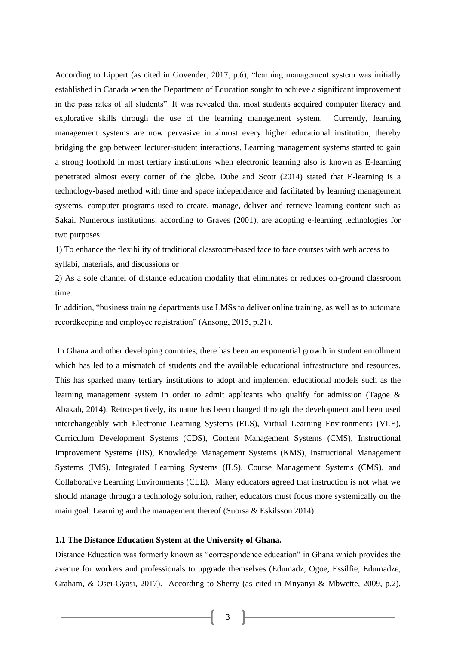According to Lippert (as cited in Govender, 2017, p.6), "learning management system was initially established in Canada when the Department of Education sought to achieve a significant improvement in the pass rates of all students". It was revealed that most students acquired computer literacy and explorative skills through the use of the learning management system. Currently, learning management systems are now pervasive in almost every higher educational institution, thereby bridging the gap between lecturer-student interactions. Learning management systems started to gain a strong foothold in most tertiary institutions when electronic learning also is known as E-learning penetrated almost every corner of the globe. Dube and Scott (2014) stated that E-learning is a technology-based method with time and space independence and facilitated by learning management systems, computer programs used to create, manage, deliver and retrieve learning content such as Sakai. Numerous institutions, according to Graves (2001), are adopting e-learning technologies for two purposes:

1) To enhance the flexibility of traditional classroom-based face to face courses with web access to syllabi, materials, and discussions or

2) As a sole channel of distance education modality that eliminates or reduces on-ground classroom time.

In addition, "business training departments use LMSs to deliver online training, as well as to automate recordkeeping and employee registration" (Ansong, 2015, p.21).

In Ghana and other developing countries, there has been an exponential growth in student enrollment which has led to a mismatch of students and the available educational infrastructure and resources. This has sparked many tertiary institutions to adopt and implement educational models such as the learning management system in order to admit applicants who qualify for admission (Tagoe & Abakah, 2014). Retrospectively, its name has been changed through the development and been used interchangeably with Electronic Learning Systems (ELS), Virtual Learning Environments (VLE), Curriculum Development Systems (CDS), Content Management Systems (CMS), Instructional Improvement Systems (IIS), Knowledge Management Systems (KMS), Instructional Management Systems (IMS), Integrated Learning Systems (ILS), Course Management Systems (CMS), and Collaborative Learning Environments (CLE). Many educators agreed that instruction is not what we should manage through a technology solution, rather, educators must focus more systemically on the main goal: Learning and the management thereof (Suorsa & Eskilsson 2014).

# **1.1 The Distance Education System at the University of Ghana.**

Distance Education was formerly known as "correspondence education" in Ghana which provides the avenue for workers and professionals to upgrade themselves (Edumadz, Ogoe, Essilfie, Edumadze, Graham, & Osei-Gyasi, 2017). According to Sherry (as cited in Mnyanyi & Mbwette, 2009, p.2),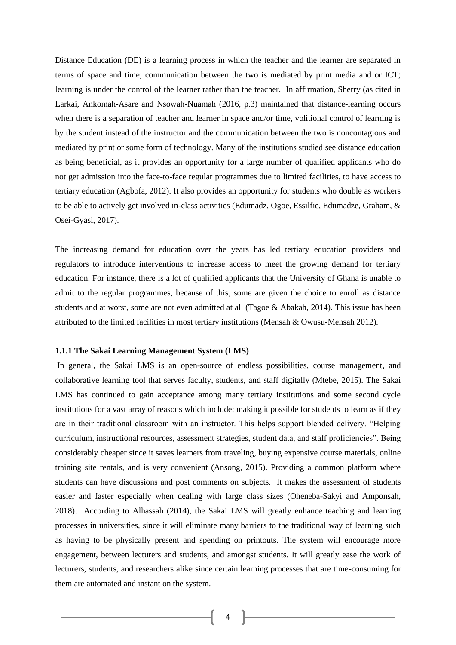Distance Education (DE) is a learning process in which the teacher and the learner are separated in terms of space and time; communication between the two is mediated by print media and or ICT; learning is under the control of the learner rather than the teacher. In affirmation, Sherry (as cited in Larkai, Ankomah-Asare and Nsowah-Nuamah (2016, p.3) maintained that distance-learning occurs when there is a separation of teacher and learner in space and/or time, volitional control of learning is by the student instead of the instructor and the communication between the two is noncontagious and mediated by print or some form of technology. Many of the institutions studied see distance education as being beneficial, as it provides an opportunity for a large number of qualified applicants who do not get admission into the face-to-face regular programmes due to limited facilities, to have access to tertiary education (Agbofa, 2012). It also provides an opportunity for students who double as workers to be able to actively get involved in-class activities (Edumadz, Ogoe, Essilfie, Edumadze, Graham, & Osei-Gyasi, 2017).

The increasing demand for education over the years has led tertiary education providers and regulators to introduce interventions to increase access to meet the growing demand for tertiary education. For instance, there is a lot of qualified applicants that the University of Ghana is unable to admit to the regular programmes, because of this, some are given the choice to enroll as distance students and at worst, some are not even admitted at all (Tagoe & Abakah, 2014). This issue has been attributed to the limited facilities in most tertiary institutions (Mensah & Owusu-Mensah 2012).

# **1.1.1 The Sakai Learning Management System (LMS)**

In general, the Sakai LMS is an open-source of endless possibilities, course management, and collaborative learning tool that serves faculty, students, and staff digitally (Mtebe, 2015). The Sakai LMS has continued to gain acceptance among many tertiary institutions and some second cycle institutions for a vast array of reasons which include; making it possible for students to learn as if they are in their traditional classroom with an instructor. This helps support blended delivery. "Helping curriculum, instructional resources, assessment strategies, student data, and staff proficiencies". Being considerably cheaper since it saves learners from traveling, buying expensive course materials, online training site rentals, and is very convenient (Ansong, 2015). Providing a common platform where students can have discussions and post comments on subjects. It makes the assessment of students easier and faster especially when dealing with large class sizes (Oheneba-Sakyi and Amponsah, 2018). According to Alhassah (2014), the Sakai LMS will greatly enhance teaching and learning processes in universities, since it will eliminate many barriers to the traditional way of learning such as having to be physically present and spending on printouts. The system will encourage more engagement, between lecturers and students, and amongst students. It will greatly ease the work of lecturers, students, and researchers alike since certain learning processes that are time-consuming for them are automated and instant on the system.

4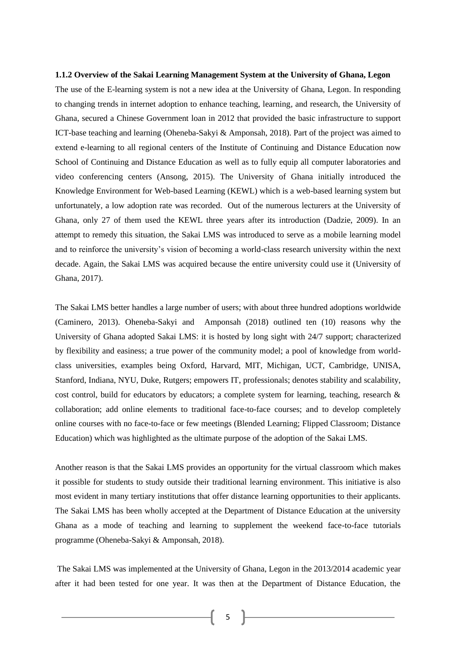#### **1.1.2 Overview of the Sakai Learning Management System at the University of Ghana, Legon**

The use of the E-learning system is not a new idea at the University of Ghana, Legon. In responding to changing trends in internet adoption to enhance teaching, learning, and research, the University of Ghana, secured a Chinese Government loan in 2012 that provided the basic infrastructure to support ICT-base teaching and learning (Oheneba-Sakyi & Amponsah, 2018). Part of the project was aimed to extend e-learning to all regional centers of the Institute of Continuing and Distance Education now School of Continuing and Distance Education as well as to fully equip all computer laboratories and video conferencing centers (Ansong, 2015). The University of Ghana initially introduced the Knowledge Environment for Web-based Learning (KEWL) which is a web-based learning system but unfortunately, a low adoption rate was recorded. Out of the numerous lecturers at the University of Ghana, only 27 of them used the KEWL three years after its introduction (Dadzie, 2009). In an attempt to remedy this situation, the Sakai LMS was introduced to serve as a mobile learning model and to reinforce the university's vision of becoming a world-class research university within the next decade. Again, the Sakai LMS was acquired because the entire university could use it (University of Ghana, 2017).

The Sakai LMS better handles a large number of users; with about three hundred adoptions worldwide (Caminero, 2013). Oheneba-Sakyi and Amponsah (2018) outlined ten (10) reasons why the University of Ghana adopted Sakai LMS: it is hosted by long sight with 24/7 support; characterized by flexibility and easiness; a true power of the community model; a pool of knowledge from worldclass universities, examples being Oxford, Harvard, MIT, Michigan, UCT, Cambridge, UNISA, Stanford, Indiana, NYU, Duke, Rutgers; empowers IT, professionals; denotes stability and scalability, cost control, build for educators by educators; a complete system for learning, teaching, research & collaboration; add online elements to traditional face-to-face courses; and to develop completely online courses with no face-to-face or few meetings (Blended Learning; Flipped Classroom; Distance Education) which was highlighted as the ultimate purpose of the adoption of the Sakai LMS.

Another reason is that the Sakai LMS provides an opportunity for the virtual classroom which makes it possible for students to study outside their traditional learning environment. This initiative is also most evident in many tertiary institutions that offer distance learning opportunities to their applicants. The Sakai LMS has been wholly accepted at the Department of Distance Education at the university Ghana as a mode of teaching and learning to supplement the weekend face-to-face tutorials programme (Oheneba-Sakyi & Amponsah, 2018).

The Sakai LMS was implemented at the University of Ghana, Legon in the 2013/2014 academic year after it had been tested for one year. It was then at the Department of Distance Education, the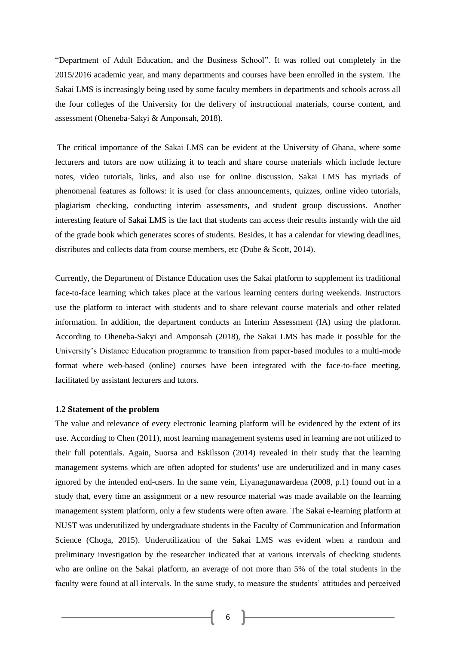"Department of Adult Education, and the Business School". It was rolled out completely in the 2015/2016 academic year, and many departments and courses have been enrolled in the system. The Sakai LMS is increasingly being used by some faculty members in departments and schools across all the four colleges of the University for the delivery of instructional materials, course content, and assessment (Oheneba-Sakyi & Amponsah, 2018).

The critical importance of the Sakai LMS can be evident at the University of Ghana, where some lecturers and tutors are now utilizing it to teach and share course materials which include lecture notes, video tutorials, links, and also use for online discussion. Sakai LMS has myriads of phenomenal features as follows: it is used for class announcements, quizzes, online video tutorials, plagiarism checking, conducting interim assessments, and student group discussions. Another interesting feature of Sakai LMS is the fact that students can access their results instantly with the aid of the grade book which generates scores of students. Besides, it has a calendar for viewing deadlines, distributes and collects data from course members, etc (Dube & Scott, 2014).

Currently, the Department of Distance Education uses the Sakai platform to supplement its traditional face-to-face learning which takes place at the various learning centers during weekends. Instructors use the platform to interact with students and to share relevant course materials and other related information. In addition, the department conducts an Interim Assessment (IA) using the platform. According to Oheneba-Sakyi and Amponsah (2018), the Sakai LMS has made it possible for the University's Distance Education programme to transition from paper-based modules to a multi-mode format where web-based (online) courses have been integrated with the face-to-face meeting, facilitated by assistant lecturers and tutors.

#### **1.2 Statement of the problem**

The value and relevance of every electronic learning platform will be evidenced by the extent of its use. According to Chen (2011), most learning management systems used in learning are not utilized to their full potentials. Again, Suorsa and Eskilsson (2014) revealed in their study that the learning management systems which are often adopted for students' use are underutilized and in many cases ignored by the intended end-users. In the same vein, Liyanagunawardena (2008, p.1) found out in a study that, every time an assignment or a new resource material was made available on the learning management system platform, only a few students were often aware. The Sakai e-learning platform at NUST was underutilized by undergraduate students in the Faculty of Communication and Information Science (Choga, 2015). Underutilization of the Sakai LMS was evident when a random and preliminary investigation by the researcher indicated that at various intervals of checking students who are online on the Sakai platform, an average of not more than 5% of the total students in the faculty were found at all intervals. In the same study, to measure the students' attitudes and perceived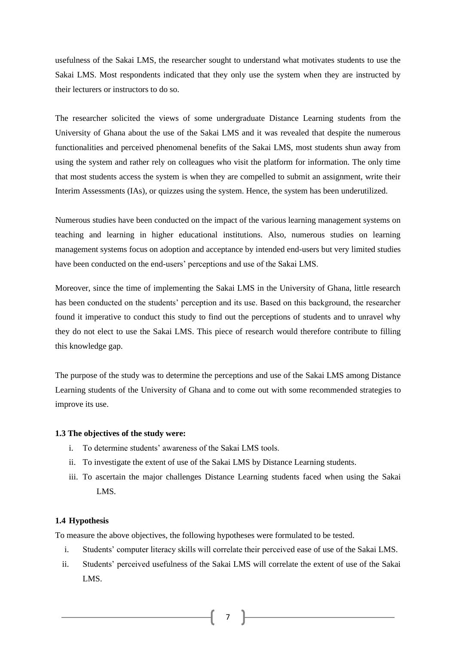usefulness of the Sakai LMS, the researcher sought to understand what motivates students to use the Sakai LMS. Most respondents indicated that they only use the system when they are instructed by their lecturers or instructors to do so.

The researcher solicited the views of some undergraduate Distance Learning students from the University of Ghana about the use of the Sakai LMS and it was revealed that despite the numerous functionalities and perceived phenomenal benefits of the Sakai LMS, most students shun away from using the system and rather rely on colleagues who visit the platform for information. The only time that most students access the system is when they are compelled to submit an assignment, write their Interim Assessments (IAs), or quizzes using the system. Hence, the system has been underutilized.

Numerous studies have been conducted on the impact of the various learning management systems on teaching and learning in higher educational institutions. Also, numerous studies on learning management systems focus on adoption and acceptance by intended end-users but very limited studies have been conducted on the end-users' perceptions and use of the Sakai LMS.

Moreover, since the time of implementing the Sakai LMS in the University of Ghana, little research has been conducted on the students' perception and its use. Based on this background, the researcher found it imperative to conduct this study to find out the perceptions of students and to unravel why they do not elect to use the Sakai LMS. This piece of research would therefore contribute to filling this knowledge gap.

The purpose of the study was to determine the perceptions and use of the Sakai LMS among Distance Learning students of the University of Ghana and to come out with some recommended strategies to improve its use.

#### **1.3 The objectives of the study were:**

- i. To determine students' awareness of the Sakai LMS tools.
- ii. To investigate the extent of use of the Sakai LMS by Distance Learning students.
- iii. To ascertain the major challenges Distance Learning students faced when using the Sakai LMS.

# **1.4 Hypothesis**

To measure the above objectives, the following hypotheses were formulated to be tested.

- i. Students' computer literacy skills will correlate their perceived ease of use of the Sakai LMS.
- ii. Students' perceived usefulness of the Sakai LMS will correlate the extent of use of the Sakai LMS.

7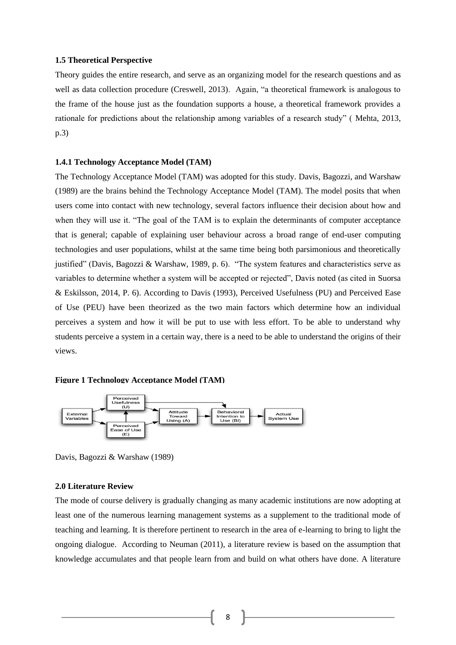#### **1.5 Theoretical Perspective**

Theory guides the entire research, and serve as an organizing model for the research questions and as well as data collection procedure (Creswell, 2013). Again, "a theoretical framework is analogous to the frame of the house just as the foundation supports a house, a theoretical framework provides a rationale for predictions about the relationship among variables of a research study" ( [Mehta,](http://www.slideshare.net/rsmehta?utm_campaign=profiletracking&utm_medium=sssite&utm_source=ssslideview) 2013, p.3)

#### **1.4.1 Technology Acceptance Model (TAM)**

The Technology Acceptance Model (TAM) was adopted for this study. [Davis, Bagozzi, and Warshaw](https://en.wikipedia.org/wiki/Technology_acceptance_model#CITEREFDavisBagozziWarshaw1989)  [\(1989\)](https://en.wikipedia.org/wiki/Technology_acceptance_model#CITEREFDavisBagozziWarshaw1989) are the brains behind the Technology Acceptance Model (TAM). The model posits that when users come into contact with new technology, several factors influence their decision about how and when they will use it. "The goal of the TAM is to explain the determinants of computer acceptance that is general; capable of explaining user behaviour across a broad range of end-user computing technologies and user populations, whilst at the same time being both parsimonious and theoretically justified" [\(Davis, Bagozzi & Warshaw, 1989,](https://en.wikipedia.org/wiki/Technology_acceptance_model#CITEREFDavisBagozziWarshaw1989) p. 6). "The system features and characteristics serve as variables to determine whether a system will be accepted or rejected", Davis noted (as cited in Suorsa & Eskilsson, 2014, P. 6). According to Davis (1993), Perceived Usefulness (PU) and Perceived Ease of Use (PEU) have been theorized as the two main factors which determine how an individual perceives a system and how it will be put to use with less effort. To be able to understand why students perceive a system in a certain way, there is a need to be able to understand the origins of their views.

#### **Figure 1 Technology Acceptance Model (TAM)**



Davis, Bagozzi & Warshaw (1989)

# **2.0 Literature Review**

The mode of course delivery is gradually changing as many academic institutions are now adopting at least one of the numerous learning management systems as a supplement to the traditional mode of teaching and learning. It is therefore pertinent to research in the area of e-learning to bring to light the ongoing dialogue. According to Neuman (2011), a literature review is based on the assumption that knowledge accumulates and that people learn from and build on what others have done. A literature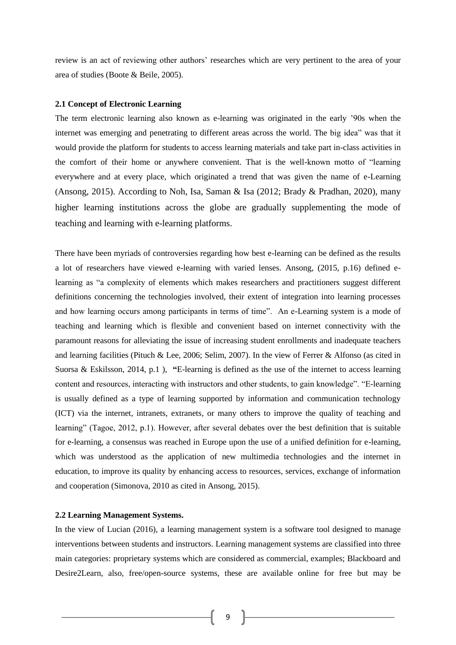review is an act of reviewing other authors' researches which are very pertinent to the area of your area of studies (Boote & Beile, 2005).

#### **2.1 Concept of Electronic Learning**

The term electronic learning also known as e-learning was originated in the early '90s when the internet was emerging and penetrating to different areas across the world. The big idea" was that it would provide the platform for students to access learning materials and take part in-class activities in the comfort of their home or anywhere convenient. That is the well-known motto of "learning everywhere and at every place, which originated a trend that was given the name of e-Learning (Ansong, 2015). According to Noh, Isa, Saman & Isa (2012; Brady & Pradhan, 2020), many higher learning institutions across the globe are gradually supplementing the mode of teaching and learning with e-learning platforms.

There have been myriads of controversies regarding how best e-learning can be defined as the results a lot of researchers have viewed e-learning with varied lenses. Ansong, (2015, p.16) defined elearning as "a complexity of elements which makes researchers and practitioners suggest different definitions concerning the technologies involved, their extent of integration into learning processes and how learning occurs among participants in terms of time". An e-Learning system is a mode of teaching and learning which is flexible and convenient based on internet connectivity with the paramount reasons for alleviating the issue of increasing student enrollments and inadequate teachers and learning facilities (Pituch & Lee, 2006; Selim, 2007). In the view of Ferrer & Alfonso (as cited in Suorsa & Eskilsson, 2014, p.1 ), **"**E-learning is defined as the use of the internet to access learning content and resources, interacting with instructors and other students, to gain knowledge". "E-learning is usually defined as a type of learning supported by information and communication technology (ICT) via the internet, intranets, extranets, or many others to improve the quality of teaching and learning" (Tagoe, 2012, p.1). However, after several debates over the best definition that is suitable for e-learning, a consensus was reached in Europe upon the use of a unified definition for e-learning, which was understood as the application of new multimedia technologies and the internet in education, to improve its quality by enhancing access to resources, services, exchange of information and cooperation (Simonova, 2010 as cited in Ansong, 2015).

# **2.2 Learning Management Systems.**

In the view of Lucian (2016), a learning management system is a software tool designed to manage interventions between students and instructors. Learning management systems are classified into three main categories: proprietary systems which are considered as commercial, examples; Blackboard and Desire2Learn, also, free/open-source systems, these are available online for free but may be

9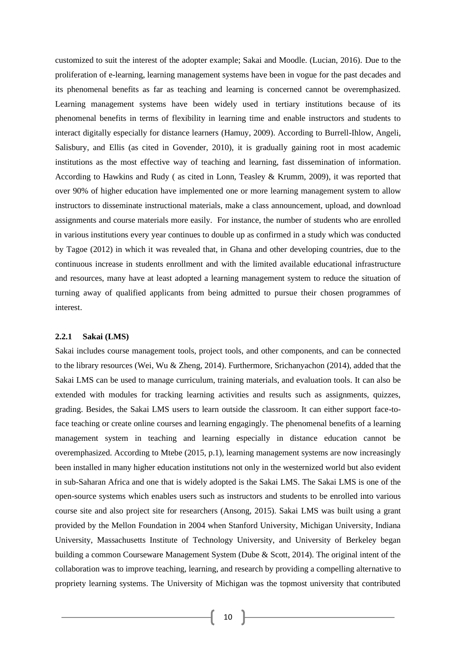customized to suit the interest of the adopter example; Sakai and Moodle. (Lucian, 2016). Due to the proliferation of e-learning, learning management systems have been in vogue for the past decades and its phenomenal benefits as far as teaching and learning is concerned cannot be overemphasized. Learning management systems have been widely used in tertiary institutions because of its phenomenal benefits in terms of flexibility in learning time and enable instructors and students to interact digitally especially for distance learners (Hamuy, 2009). According to Burrell-Ihlow, Angeli, Salisbury, and Ellis (as cited in Govender, 2010), it is gradually gaining root in most academic institutions as the most effective way of teaching and learning, fast dissemination of information. According to Hawkins and Rudy ( as cited in Lonn, Teasley & Krumm, 2009), it was reported that over 90% of higher education have implemented one or more learning management system to allow instructors to disseminate instructional materials, make a class announcement, upload, and download assignments and course materials more easily. For instance, the number of students who are enrolled in various institutions every year continues to double up as confirmed in a study which was conducted by Tagoe (2012) in which it was revealed that, in Ghana and other developing countries, due to the continuous increase in students enrollment and with the limited available educational infrastructure and resources, many have at least adopted a learning management system to reduce the situation of turning away of qualified applicants from being admitted to pursue their chosen programmes of interest.

# **2.2.1 Sakai (LMS)**

Sakai includes course management tools, project tools, and other components, and can be connected to the library resources (Wei, Wu & Zheng, 2014). Furthermore, Srichanyachon (2014), added that the Sakai LMS can be used to manage curriculum, training materials, and evaluation tools. It can also be extended with modules for tracking learning activities and results such as assignments, quizzes, grading. Besides, the Sakai LMS users to learn outside the classroom. It can either support face-toface teaching or create online courses and learning engagingly. The phenomenal benefits of a learning management system in teaching and learning especially in distance education cannot be overemphasized. According to Mtebe (2015, p.1), learning management systems are now increasingly been installed in many higher education institutions not only in the westernized world but also evident in sub-Saharan Africa and one that is widely adopted is the Sakai LMS. The Sakai LMS is one of the open-source systems which enables users such as instructors and students to be enrolled into various course site and also project site for researchers (Ansong, 2015). Sakai LMS was built using a grant provided by the Mellon Foundation in 2004 when Stanford University, Michigan University, Indiana University, Massachusetts Institute of Technology University, and University of Berkeley began building a common Courseware Management System (Dube & Scott, 2014). The original intent of the collaboration was to improve teaching, learning, and research by providing a compelling alternative to propriety learning systems. The University of Michigan was the topmost university that contributed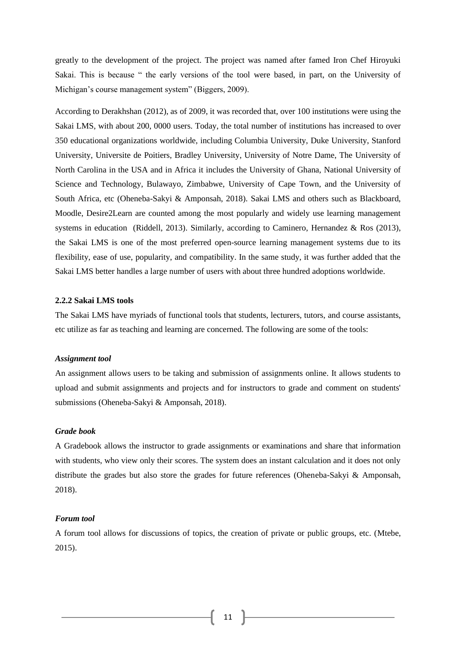greatly to the development of the project. The project was named after famed Iron Chef Hiroyuki Sakai. This is because " the early versions of the tool were based, in part, on the University of Michigan's course management system" (Biggers, 2009).

According to Derakhshan (2012), as of 2009, it was recorded that, over 100 institutions were using the Sakai LMS, with about 200, 0000 users. Today, the total number of institutions has increased to over 350 educational organizations worldwide, including Columbia University, Duke University, Stanford University, Universite de Poitiers, Bradley University, University of Notre Dame, The University of North Carolina in the USA and in Africa it includes the University of Ghana, National University of Science and Technology, Bulawayo, Zimbabwe, University of Cape Town, and the University of South Africa, etc (Oheneba-Sakyi & Amponsah, 2018). Sakai LMS and others such as Blackboard, Moodle, Desire2Learn are counted among the most popularly and widely use learning management systems in education (Riddell, 2013). Similarly, according to Caminero, Hernandez & Ros (2013), the Sakai LMS is one of the most preferred open-source learning management systems due to its flexibility, ease of use, popularity, and compatibility. In the same study, it was further added that the Sakai LMS better handles a large number of users with about three hundred adoptions worldwide.

# **2.2.2 Sakai LMS tools**

The Sakai LMS have myriads of functional tools that students, lecturers, tutors, and course assistants, etc utilize as far as teaching and learning are concerned. The following are some of the tools:

#### *Assignment tool*

An assignment allows users to be taking and submission of assignments online. It allows students to upload and submit assignments and projects and for instructors to grade and comment on students' submissions (Oheneba-Sakyi & Amponsah, 2018).

# *Grade book*

A Gradebook allows the instructor to grade assignments or examinations and share that information with students, who view only their scores. The system does an instant calculation and it does not only distribute the grades but also store the grades for future references (Oheneba-Sakyi & Amponsah, 2018).

# *Forum tool*

A forum tool allows for discussions of topics, the creation of private or public groups, etc. (Mtebe, 2015).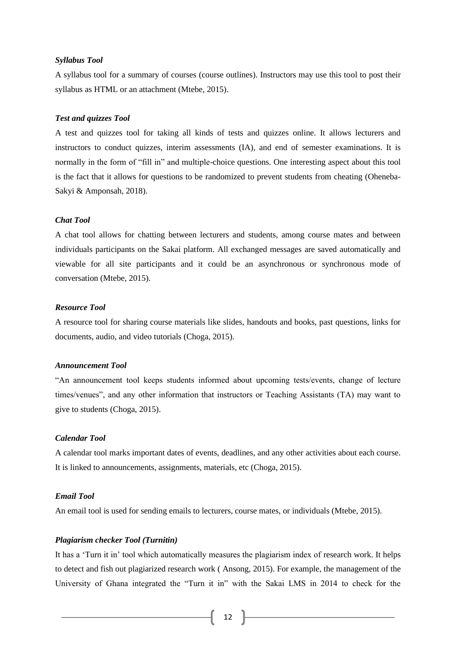#### *Syllabus Tool*

A syllabus tool for a summary of courses (course outlines). Instructors may use this tool to post their syllabus as HTML or an attachment (Mtebe, 2015).

#### *Test and quizzes Tool*

A test and quizzes tool for taking all kinds of tests and quizzes online. It allows lecturers and instructors to conduct quizzes, interim assessments (IA), and end of semester examinations. It is normally in the form of "fill in" and multiple-choice questions. One interesting aspect about this tool is the fact that it allows for questions to be randomized to prevent students from cheating (Oheneba-Sakyi & Amponsah, 2018).

#### *Chat Tool*

A chat tool allows for chatting between lecturers and students, among course mates and between individuals participants on the Sakai platform. All exchanged messages are saved automatically and viewable for all site participants and it could be an asynchronous or synchronous mode of conversation (Mtebe, 2015).

# *Resource Tool*

A resource tool for sharing course materials like slides, handouts and books, past questions, links for documents, audio, and video tutorials (Choga, 2015).

#### *Announcement Tool*

"An announcement tool keeps students informed about upcoming tests/events, change of lecture times/venues", and any other information that instructors or Teaching Assistants (TA) may want to give to students (Choga, 2015).

# *Calendar Tool*

A calendar tool marks important dates of events, deadlines, and any other activities about each course. It is linked to announcements, assignments, materials, etc (Choga, 2015).

# *Email Tool*

An email tool is used for sending emails to lecturers, course mates, or individuals (Mtebe, 2015).

# *Plagiarism checker Tool (Turnitin)*

It has a 'Turn it in' tool which automatically measures the plagiarism index of research work. It helps to detect and fish out plagiarized research work ( Ansong, 2015). For example, the management of the University of Ghana integrated the "Turn it in" with the Sakai LMS in 2014 to check for the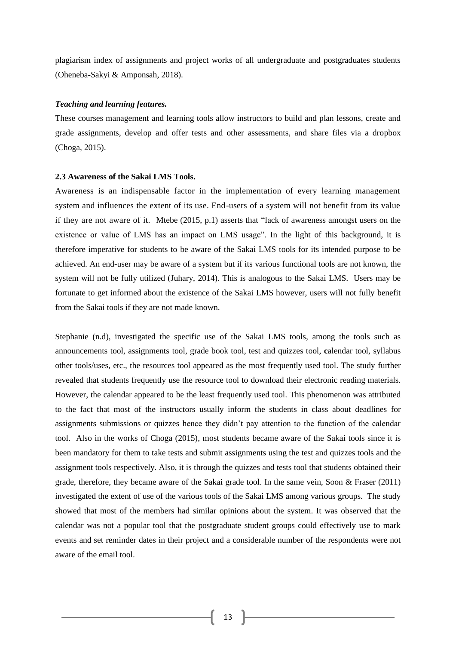plagiarism index of assignments and project works of all undergraduate and postgraduates students (Oheneba-Sakyi & Amponsah, 2018).

#### *Teaching and learning features.*

These courses management and learning tools allow instructors to build and plan lessons, create and grade assignments, develop and offer tests and other assessments, and share files via a dropbox (Choga, 2015).

#### **2.3 Awareness of the Sakai LMS Tools.**

Awareness is an indispensable factor in the implementation of every learning management system and influences the extent of its use. End-users of a system will not benefit from its value if they are not aware of it. Mtebe (2015, p.1) asserts that "lack of awareness amongst users on the existence or value of LMS has an impact on LMS usage". In the light of this background, it is therefore imperative for students to be aware of the Sakai LMS tools for its intended purpose to be achieved. An end-user may be aware of a system but if its various functional tools are not known, the system will not be fully utilized (Juhary, 2014). This is analogous to the Sakai LMS. Users may be fortunate to get informed about the existence of the Sakai LMS however, users will not fully benefit from the Sakai tools if they are not made known.

Stephanie (n.d), investigated the specific use of the Sakai LMS tools, among the tools such as announcements tool, assignments tool, grade book tool, test and quizzes tool, **c**alendar tool, syllabus other tools/uses, etc., the resources tool appeared as the most frequently used tool. The study further revealed that students frequently use the resource tool to download their electronic reading materials. However, the calendar appeared to be the least frequently used tool. This phenomenon was attributed to the fact that most of the instructors usually inform the students in class about deadlines for assignments submissions or quizzes hence they didn't pay attention to the function of the calendar tool. Also in the works of Choga (2015), most students became aware of the Sakai tools since it is been mandatory for them to take tests and submit assignments using the test and quizzes tools and the assignment tools respectively. Also, it is through the quizzes and tests tool that students obtained their grade, therefore, they became aware of the Sakai grade tool. In the same vein, Soon & Fraser (2011) investigated the extent of use of the various tools of the Sakai LMS among various groups. The study showed that most of the members had similar opinions about the system. It was observed that the calendar was not a popular tool that the postgraduate student groups could effectively use to mark events and set reminder dates in their project and a considerable number of the respondents were not aware of the email tool.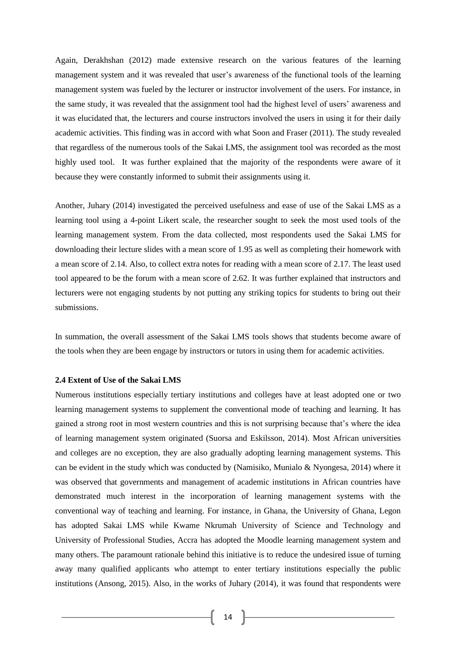Again, Derakhshan (2012) made extensive research on the various features of the learning management system and it was revealed that user's awareness of the functional tools of the learning management system was fueled by the lecturer or instructor involvement of the users. For instance, in the same study, it was revealed that the assignment tool had the highest level of users' awareness and it was elucidated that, the lecturers and course instructors involved the users in using it for their daily academic activities. This finding was in accord with what Soon and Fraser (2011). The study revealed that regardless of the numerous tools of the Sakai LMS, the assignment tool was recorded as the most highly used tool. It was further explained that the majority of the respondents were aware of it because they were constantly informed to submit their assignments using it.

Another, Juhary (2014) investigated the perceived usefulness and ease of use of the Sakai LMS as a learning tool using a 4-point Likert scale, the researcher sought to seek the most used tools of the learning management system. From the data collected, most respondents used the Sakai LMS for downloading their lecture slides with a mean score of 1.95 as well as completing their homework with a mean score of 2.14. Also, to collect extra notes for reading with a mean score of 2.17. The least used tool appeared to be the forum with a mean score of 2.62. It was further explained that instructors and lecturers were not engaging students by not putting any striking topics for students to bring out their submissions.

In summation, the overall assessment of the Sakai LMS tools shows that students become aware of the tools when they are been engage by instructors or tutors in using them for academic activities.

#### **2.4 Extent of Use of the Sakai LMS**

Numerous institutions especially tertiary institutions and colleges have at least adopted one or two learning management systems to supplement the conventional mode of teaching and learning. It has gained a strong root in most western countries and this is not surprising because that's where the idea of learning management system originated (Suorsa and Eskilsson, 2014). Most African universities and colleges are no exception, they are also gradually adopting learning management systems. This can be evident in the study which was conducted by (Namisiko, Munialo & Nyongesa, 2014) where it was observed that governments and management of academic institutions in African countries have demonstrated much interest in the incorporation of learning management systems with the conventional way of teaching and learning. For instance, in Ghana, the University of Ghana, Legon has adopted Sakai LMS while Kwame Nkrumah University of Science and Technology and University of Professional Studies, Accra has adopted the Moodle learning management system and many others. The paramount rationale behind this initiative is to reduce the undesired issue of turning away many qualified applicants who attempt to enter tertiary institutions especially the public institutions (Ansong, 2015). Also, in the works of Juhary (2014), it was found that respondents were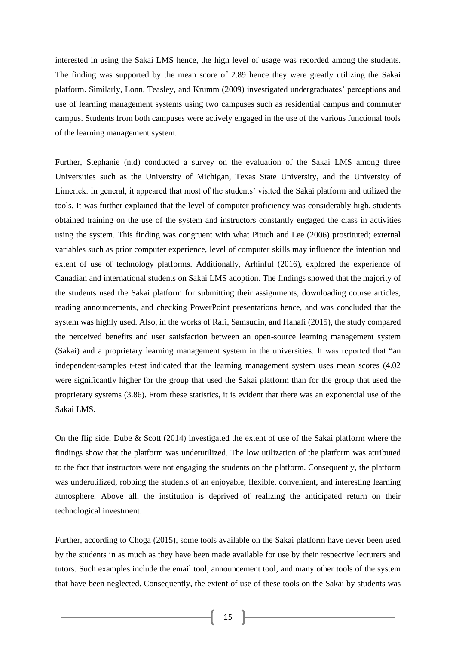interested in using the Sakai LMS hence, the high level of usage was recorded among the students. The finding was supported by the mean score of 2.89 hence they were greatly utilizing the Sakai platform. Similarly, Lonn, Teasley, and Krumm (2009) investigated undergraduates' perceptions and use of learning management systems using two campuses such as residential campus and commuter campus. Students from both campuses were actively engaged in the use of the various functional tools of the learning management system.

Further, Stephanie (n.d) conducted a survey on the evaluation of the Sakai LMS among three Universities such as the University of Michigan, Texas State University, and the University of Limerick. In general, it appeared that most of the students' visited the Sakai platform and utilized the tools. It was further explained that the level of computer proficiency was considerably high, students obtained training on the use of the system and instructors constantly engaged the class in activities using the system. This finding was congruent with what Pituch and Lee (2006) prostituted; external variables such as prior computer experience, level of computer skills may influence the intention and extent of use of technology platforms. Additionally, Arhinful (2016), explored the experience of Canadian and international students on Sakai LMS adoption. The findings showed that the majority of the students used the Sakai platform for submitting their assignments, downloading course articles, reading announcements, and checking PowerPoint presentations hence, and was concluded that the system was highly used. Also, in the works of Rafi, Samsudin, and Hanafi (2015), the study compared the perceived benefits and user satisfaction between an open-source learning management system (Sakai) and a proprietary learning management system in the universities. It was reported that "an independent-samples t-test indicated that the learning management system uses mean scores (4.02 were significantly higher for the group that used the Sakai platform than for the group that used the proprietary systems (3.86). From these statistics, it is evident that there was an exponential use of the Sakai LMS.

On the flip side, Dube & Scott (2014) investigated the extent of use of the Sakai platform where the findings show that the platform was underutilized. The low utilization of the platform was attributed to the fact that instructors were not engaging the students on the platform. Consequently, the platform was underutilized, robbing the students of an enjoyable, flexible, convenient, and interesting learning atmosphere. Above all, the institution is deprived of realizing the anticipated return on their technological investment.

Further, according to Choga (2015), some tools available on the Sakai platform have never been used by the students in as much as they have been made available for use by their respective lecturers and tutors. Such examples include the email tool, announcement tool, and many other tools of the system that have been neglected. Consequently, the extent of use of these tools on the Sakai by students was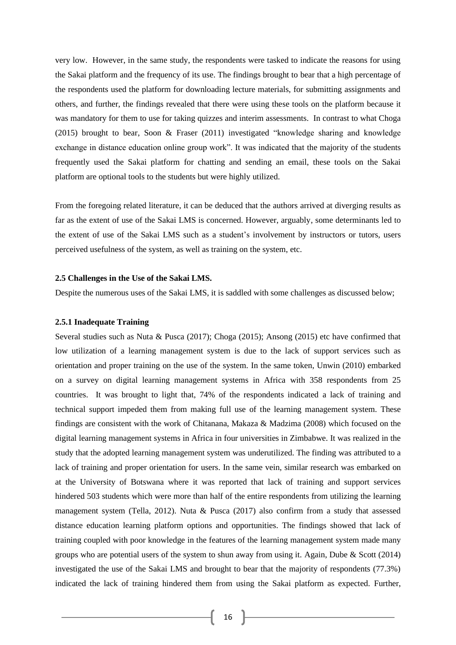very low. However, in the same study, the respondents were tasked to indicate the reasons for using the Sakai platform and the frequency of its use. The findings brought to bear that a high percentage of the respondents used the platform for downloading lecture materials, for submitting assignments and others, and further, the findings revealed that there were using these tools on the platform because it was mandatory for them to use for taking quizzes and interim assessments. In contrast to what Choga (2015) brought to bear, Soon & Fraser (2011) investigated "knowledge sharing and knowledge exchange in distance education online group work". It was indicated that the majority of the students frequently used the Sakai platform for chatting and sending an email, these tools on the Sakai platform are optional tools to the students but were highly utilized.

From the foregoing related literature, it can be deduced that the authors arrived at diverging results as far as the extent of use of the Sakai LMS is concerned. However, arguably, some determinants led to the extent of use of the Sakai LMS such as a student's involvement by instructors or tutors, users perceived usefulness of the system, as well as training on the system, etc.

#### **2.5 Challenges in the Use of the Sakai LMS.**

Despite the numerous uses of the Sakai LMS, it is saddled with some challenges as discussed below;

#### **2.5.1 Inadequate Training**

Several studies such as Nuta & Pusca (2017); Choga (2015); Ansong (2015) etc have confirmed that low utilization of a learning management system is due to the lack of support services such as orientation and proper training on the use of the system. In the same token, Unwin (2010) embarked on a survey on digital learning management systems in Africa with 358 respondents from 25 countries. It was brought to light that, 74% of the respondents indicated a lack of training and technical support impeded them from making full use of the learning management system. These findings are consistent with the work of Chitanana, Makaza & Madzima (2008) which focused on the digital learning management systems in Africa in four universities in Zimbabwe. It was realized in the study that the adopted learning management system was underutilized. The finding was attributed to a lack of training and proper orientation for users. In the same vein, similar research was embarked on at the University of Botswana where it was reported that lack of training and support services hindered 503 students which were more than half of the entire respondents from utilizing the learning management system (Tella, 2012). Nuta & Pusca (2017) also confirm from a study that assessed distance education learning platform options and opportunities. The findings showed that lack of training coupled with poor knowledge in the features of the learning management system made many groups who are potential users of the system to shun away from using it. Again, Dube & Scott (2014) investigated the use of the Sakai LMS and brought to bear that the majority of respondents (77.3%) indicated the lack of training hindered them from using the Sakai platform as expected. Further,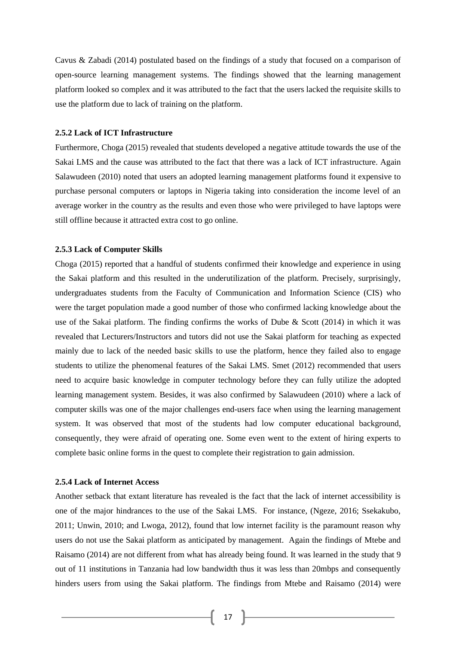Cavus & Zabadi (2014) postulated based on the findings of a study that focused on a comparison of open-source learning management systems. The findings showed that the learning management platform looked so complex and it was attributed to the fact that the users lacked the requisite skills to use the platform due to lack of training on the platform.

#### **2.5.2 Lack of ICT Infrastructure**

Furthermore, Choga (2015) revealed that students developed a negative attitude towards the use of the Sakai LMS and the cause was attributed to the fact that there was a lack of ICT infrastructure. Again Salawudeen (2010) noted that users an adopted learning management platforms found it expensive to purchase personal computers or laptops in Nigeria taking into consideration the income level of an average worker in the country as the results and even those who were privileged to have laptops were still offline because it attracted extra cost to go online.

#### **2.5.3 Lack of Computer Skills**

Choga (2015) reported that a handful of students confirmed their knowledge and experience in using the Sakai platform and this resulted in the underutilization of the platform. Precisely, surprisingly, undergraduates students from the Faculty of Communication and Information Science (CIS) who were the target population made a good number of those who confirmed lacking knowledge about the use of the Sakai platform. The finding confirms the works of Dube & Scott (2014) in which it was revealed that Lecturers/Instructors and tutors did not use the Sakai platform for teaching as expected mainly due to lack of the needed basic skills to use the platform, hence they failed also to engage students to utilize the phenomenal features of the Sakai LMS. Smet (2012) recommended that users need to acquire basic knowledge in computer technology before they can fully utilize the adopted learning management system. Besides, it was also confirmed by Salawudeen (2010) where a lack of computer skills was one of the major challenges end-users face when using the learning management system. It was observed that most of the students had low computer educational background, consequently, they were afraid of operating one. Some even went to the extent of hiring experts to complete basic online forms in the quest to complete their registration to gain admission.

# **2.5.4 Lack of Internet Access**

Another setback that extant literature has revealed is the fact that the lack of internet accessibility is one of the major hindrances to the use of the Sakai LMS. For instance, (Ngeze, 2016; Ssekakubo, 2011; Unwin, 2010; and Lwoga, 2012), found that low internet facility is the paramount reason why users do not use the Sakai platform as anticipated by management. Again the findings of Mtebe and Raisamo (2014) are not different from what has already being found. It was learned in the study that 9 out of 11 institutions in Tanzania had low bandwidth thus it was less than 20mbps and consequently hinders users from using the Sakai platform. The findings from Mtebe and Raisamo (2014) were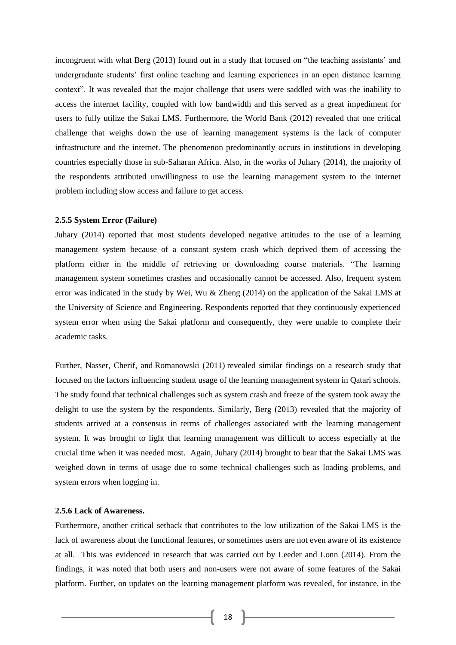incongruent with what Berg (2013) found out in a study that focused on "the teaching assistants' and undergraduate students' first online teaching and learning experiences in an open distance learning context". It was revealed that the major challenge that users were saddled with was the inability to access the internet facility, coupled with low bandwidth and this served as a great impediment for users to fully utilize the Sakai LMS. Furthermore, the World Bank (2012) revealed that one critical challenge that weighs down the use of learning management systems is the lack of computer infrastructure and the internet. The phenomenon predominantly occurs in institutions in developing countries especially those in sub-Saharan Africa. Also, in the works of Juhary (2014), the majority of the respondents attributed unwillingness to use the learning management system to the internet problem including slow access and failure to get access.

#### **2.5.5 System Error (Failure)**

Juhary (2014) reported that most students developed negative attitudes to the use of a learning management system because of a constant system crash which deprived them of accessing the platform either in the middle of retrieving or downloading course materials. "The learning management system sometimes crashes and occasionally cannot be accessed. Also, frequent system error was indicated in the study by Wei, Wu & Zheng (2014) on the application of the Sakai LMS at the University of Science and Engineering. Respondents reported that they continuously experienced system error when using the Sakai platform and consequently, they were unable to complete their academic tasks.

Further, Nasser, Cherif, and Romanowski (2011) revealed similar findings on a research study that focused on the factors influencing student usage of the learning management system in Qatari schools. The study found that technical challenges such as system crash and freeze of the system took away the delight to use the system by the respondents. Similarly, Berg (2013) revealed that the majority of students arrived at a consensus in terms of challenges associated with the learning management system. It was brought to light that learning management was difficult to access especially at the crucial time when it was needed most. Again, Juhary (2014) brought to bear that the Sakai LMS was weighed down in terms of usage due to some technical challenges such as loading problems, and system errors when logging in.

# **2.5.6 Lack of Awareness.**

Furthermore, another critical setback that contributes to the low utilization of the Sakai LMS is the lack of awareness about the functional features, or sometimes users are not even aware of its existence at all. This was evidenced in research that was carried out by Leeder and Lonn (2014). From the findings, it was noted that both users and non-users were not aware of some features of the Sakai platform. Further, on updates on the learning management platform was revealed, for instance, in the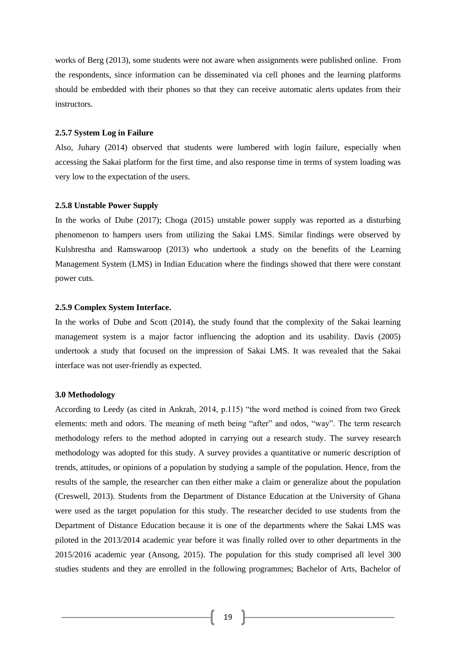works of Berg (2013), some students were not aware when assignments were published online. From the respondents, since information can be disseminated via cell phones and the learning platforms should be embedded with their phones so that they can receive automatic alerts updates from their instructors.

#### **2.5.7 System Log in Failure**

Also, Juhary (2014) observed that students were lumbered with login failure, especially when accessing the Sakai platform for the first time, and also response time in terms of system loading was very low to the expectation of the users.

#### **2.5.8 Unstable Power Supply**

In the works of Dube (2017); Choga (2015) unstable power supply was reported as a disturbing phenomenon to hampers users from utilizing the Sakai LMS. Similar findings were observed by Kulshrestha and Ramswaroop (2013) who undertook a study on the benefits of the Learning Management System (LMS) in Indian Education where the findings showed that there were constant power cuts.

#### **2.5.9 Complex System Interface.**

In the works of Dube and Scott (2014), the study found that the complexity of the Sakai learning management system is a major factor influencing the adoption and its usability. Davis (2005) undertook a study that focused on the impression of Sakai LMS. It was revealed that the Sakai interface was not user-friendly as expected.

#### **3.0 Methodology**

According to Leedy (as cited in Ankrah, 2014, p.115) "the word method is coined from two Greek elements: meth and odors. The meaning of meth being "after" and odos, "way". The term research methodology refers to the method adopted in carrying out a research study. The survey research methodology was adopted for this study. A survey provides a quantitative or numeric description of trends, attitudes, or opinions of a population by studying a sample of the population. Hence, from the results of the sample, the researcher can then either make a claim or generalize about the population (Creswell, 2013). Students from the Department of Distance Education at the University of Ghana were used as the target population for this study. The researcher decided to use students from the Department of Distance Education because it is one of the departments where the Sakai LMS was piloted in the 2013/2014 academic year before it was finally rolled over to other departments in the 2015/2016 academic year (Ansong, 2015). The population for this study comprised all level 300 studies students and they are enrolled in the following programmes; Bachelor of Arts, Bachelor of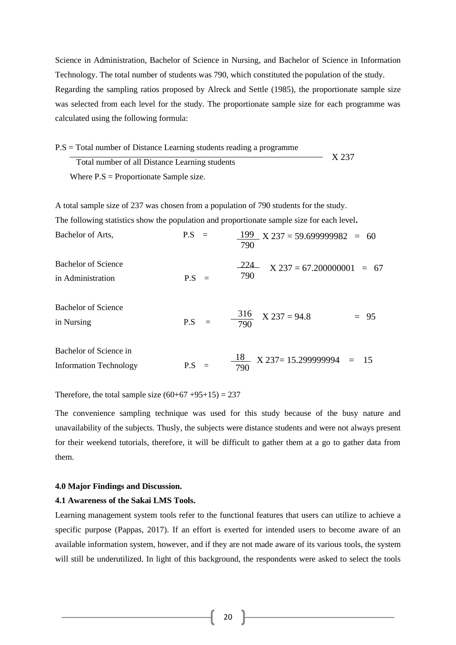Science in Administration, Bachelor of Science in Nursing, and Bachelor of Science in Information Technology. The total number of students was 790, which constituted the population of the study. Regarding the sampling ratios proposed by Alreck and Settle (1985), the proportionate sample size was selected from each level for the study. The proportionate sample size for each programme was calculated using the following formula:

P.S = Total number of Distance Learning students reading a programme Total number of all Distance Learning students Where  $P.S =$  Proportionate Sample size. X 237

A total sample size of 237 was chosen from a population of 790 students for the study. The following statistics show the population and proportionate sample size for each level**.** Bachelor of Arts,  $P.S =$ Bachelor of Science in Administration P.S = Bachelor of Science in Nursing P.S =  $-224$  X 237 = 67.200000001 = 67 199 790  $X$  237 = 59.699999982 = 60 316 790  $X$  237 = 94.8 = 95 790

Bachelor of Science in Information Technology P.S = 18 790  $X$  237= 15.299999994 = 15

Therefore, the total sample size  $(60+67+95+15) = 237$ 

The convenience sampling technique was used for this study because of the busy nature and unavailability of the subjects. Thusly, the subjects were distance students and were not always present for their weekend tutorials, therefore, it will be difficult to gather them at a go to gather data from them.

#### **4.0 Major Findings and Discussion.**

# **4.1 Awareness of the Sakai LMS Tools.**

Learning management system tools refer to the functional features that users can utilize to achieve a specific purpose (Pappas, 2017). If an effort is exerted for intended users to become aware of an available information system, however, and if they are not made aware of its various tools, the system will still be underutilized. In light of this background, the respondents were asked to select the tools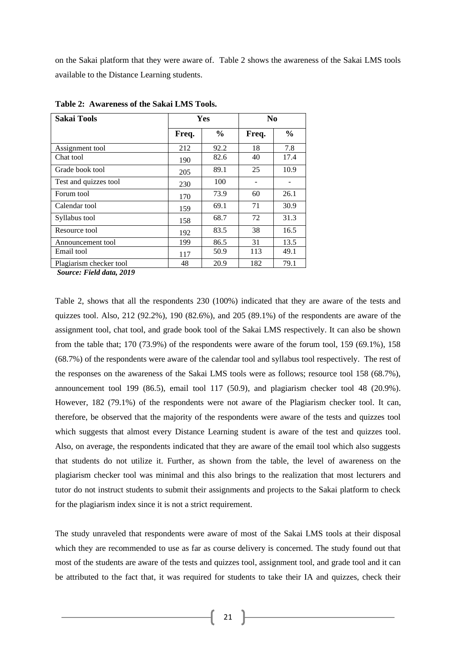on the Sakai platform that they were aware of. Table 2 shows the awareness of the Sakai LMS tools available to the Distance Learning students.

| <b>Sakai Tools</b>      | <b>Yes</b> |               | N <sub>0</sub> |               |
|-------------------------|------------|---------------|----------------|---------------|
|                         | Freq.      | $\frac{0}{0}$ | Freq.          | $\frac{0}{0}$ |
| Assignment tool         | 212        | 92.2          | 18             | 7.8           |
| Chat tool               | 190        | 82.6          | 40             | 17.4          |
| Grade book tool         | 205        | 89.1          | 25             | 10.9          |
| Test and quizzes tool   | 230        | 100           |                |               |
| Forum tool              | 170        | 73.9          | 60             | 26.1          |
| Calendar tool           | 159        | 69.1          | 71             | 30.9          |
| Syllabus tool           | 158        | 68.7          | 72             | 31.3          |
| Resource tool           | 192        | 83.5          | 38             | 16.5          |
| Announcement tool       | 199        | 86.5          | 31             | 13.5          |
| Email tool              | 117        | 50.9          | 113            | 49.1          |
| Plagiarism checker tool | 48         | 20.9          | 182            | 79.1          |

**Table 2: Awareness of the Sakai LMS Tools.**

*Source: Field data, 2019*

Table 2, shows that all the respondents 230 (100%) indicated that they are aware of the tests and quizzes tool. Also, 212 (92.2%), 190 (82.6%), and 205 (89.1%) of the respondents are aware of the assignment tool, chat tool, and grade book tool of the Sakai LMS respectively. It can also be shown from the table that; 170 (73.9%) of the respondents were aware of the forum tool, 159 (69.1%), 158 (68.7%) of the respondents were aware of the calendar tool and syllabus tool respectively. The rest of the responses on the awareness of the Sakai LMS tools were as follows; resource tool 158 (68.7%), announcement tool 199 (86.5), email tool 117 (50.9), and plagiarism checker tool 48 (20.9%). However, 182 (79.1%) of the respondents were not aware of the Plagiarism checker tool. It can, therefore, be observed that the majority of the respondents were aware of the tests and quizzes tool which suggests that almost every Distance Learning student is aware of the test and quizzes tool. Also, on average, the respondents indicated that they are aware of the email tool which also suggests that students do not utilize it. Further, as shown from the table, the level of awareness on the plagiarism checker tool was minimal and this also brings to the realization that most lecturers and tutor do not instruct students to submit their assignments and projects to the Sakai platform to check for the plagiarism index since it is not a strict requirement.

The study unraveled that respondents were aware of most of the Sakai LMS tools at their disposal which they are recommended to use as far as course delivery is concerned. The study found out that most of the students are aware of the tests and quizzes tool, assignment tool, and grade tool and it can be attributed to the fact that, it was required for students to take their IA and quizzes, check their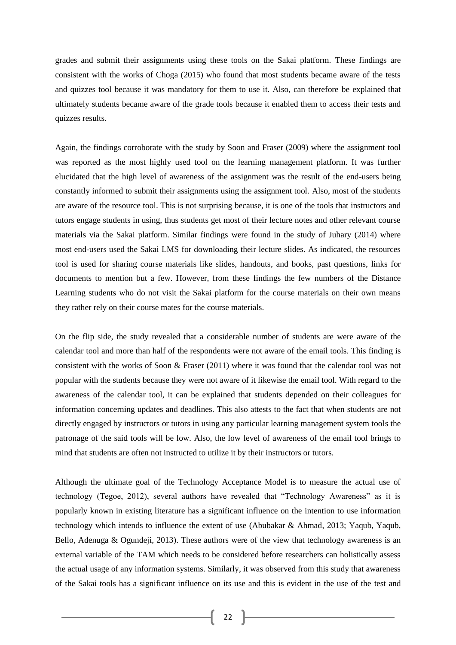grades and submit their assignments using these tools on the Sakai platform. These findings are consistent with the works of Choga (2015) who found that most students became aware of the tests and quizzes tool because it was mandatory for them to use it. Also, can therefore be explained that ultimately students became aware of the grade tools because it enabled them to access their tests and quizzes results.

Again, the findings corroborate with the study by Soon and Fraser (2009) where the assignment tool was reported as the most highly used tool on the learning management platform. It was further elucidated that the high level of awareness of the assignment was the result of the end-users being constantly informed to submit their assignments using the assignment tool. Also, most of the students are aware of the resource tool. This is not surprising because, it is one of the tools that instructors and tutors engage students in using, thus students get most of their lecture notes and other relevant course materials via the Sakai platform. Similar findings were found in the study of Juhary (2014) where most end-users used the Sakai LMS for downloading their lecture slides. As indicated, the resources tool is used for sharing course materials like slides, handouts, and books, past questions, links for documents to mention but a few. However, from these findings the few numbers of the Distance Learning students who do not visit the Sakai platform for the course materials on their own means they rather rely on their course mates for the course materials.

On the flip side, the study revealed that a considerable number of students are were aware of the calendar tool and more than half of the respondents were not aware of the email tools. This finding is consistent with the works of Soon & Fraser (2011) where it was found that the calendar tool was not popular with the students because they were not aware of it likewise the email tool. With regard to the awareness of the calendar tool, it can be explained that students depended on their colleagues for information concerning updates and deadlines. This also attests to the fact that when students are not directly engaged by instructors or tutors in using any particular learning management system tools the patronage of the said tools will be low. Also, the low level of awareness of the email tool brings to mind that students are often not instructed to utilize it by their instructors or tutors.

Although the ultimate goal of the Technology Acceptance Model is to measure the actual use of technology (Tegoe, 2012), several authors have revealed that "Technology Awareness" as it is popularly known in existing literature has a significant influence on the intention to use information technology which intends to influence the extent of use (Abubakar & Ahmad, 2013; Yaqub, Yaqub, Bello, Adenuga & Ogundeji, 2013). These authors were of the view that technology awareness is an external variable of the TAM which needs to be considered before researchers can holistically assess the actual usage of any information systems. Similarly, it was observed from this study that awareness of the Sakai tools has a significant influence on its use and this is evident in the use of the test and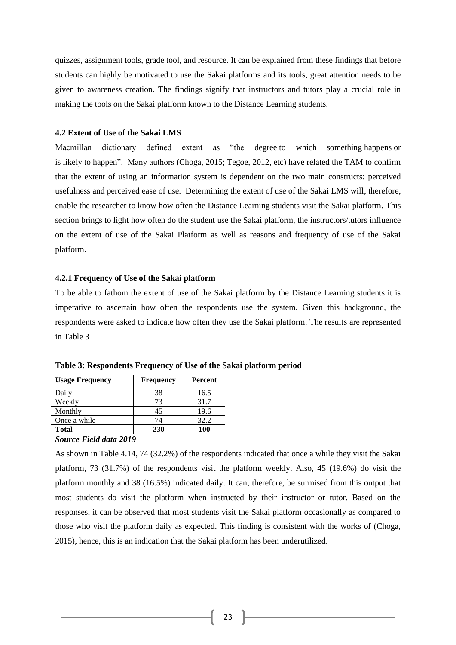quizzes, assignment tools, grade tool, and resource. It can be explained from these findings that before students can highly be motivated to use the Sakai platforms and its tools, great attention needs to be given to awareness creation. The findings signify that instructors and tutors play a crucial role in making the tools on the Sakai platform known to the Distance Learning students.

#### **4.2 Extent of Use of the Sakai LMS**

Macmillan dictionary defined extent as "the [degree](https://www.macmillandictionary.com/dictionary/british/degree) to which something [happens](https://www.macmillandictionary.com/dictionary/british/happen) or is [likely](https://www.macmillandictionary.com/dictionary/british/likely_1) to [happen"](https://www.macmillandictionary.com/dictionary/british/happen). Many authors (Choga, 2015; Tegoe, 2012, etc) have related the TAM to confirm that the extent of using an information system is dependent on the two main constructs: perceived usefulness and perceived ease of use. Determining the extent of use of the Sakai LMS will, therefore, enable the researcher to know how often the Distance Learning students visit the Sakai platform. This section brings to light how often do the student use the Sakai platform, the instructors/tutors influence on the extent of use of the Sakai Platform as well as reasons and frequency of use of the Sakai platform.

#### **4.2.1 Frequency of Use of the Sakai platform**

To be able to fathom the extent of use of the Sakai platform by the Distance Learning students it is imperative to ascertain how often the respondents use the system. Given this background, the respondents were asked to indicate how often they use the Sakai platform. The results are represented in Table 3

| <b>Usage Frequency</b> | <b>Frequency</b> | <b>Percent</b> |
|------------------------|------------------|----------------|
| Daily                  | 38               | 16.5           |
| Weekly                 | 73               | 31.7           |
| Monthly                | 45               | 19.6           |
| Once a while           | 74               | 32.2           |
| Total                  | 230              | 100            |

**Table 3: Respondents Frequency of Use of the Sakai platform period** 

#### *Source Field data 2019*

As shown in Table 4.14, 74 (32.2%) of the respondents indicated that once a while they visit the Sakai platform, 73 (31.7%) of the respondents visit the platform weekly. Also, 45 (19.6%) do visit the platform monthly and 38 (16.5%) indicated daily. It can, therefore, be surmised from this output that most students do visit the platform when instructed by their instructor or tutor. Based on the responses, it can be observed that most students visit the Sakai platform occasionally as compared to those who visit the platform daily as expected. This finding is consistent with the works of (Choga, 2015), hence, this is an indication that the Sakai platform has been underutilized.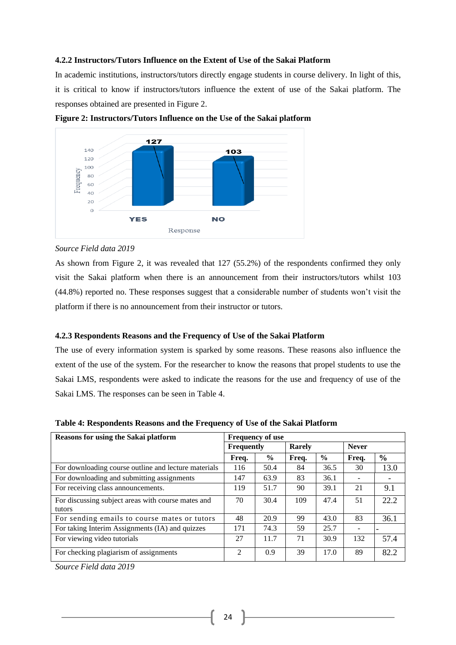# **4.2.2 Instructors/Tutors Influence on the Extent of Use of the Sakai Platform**

In academic institutions, instructors/tutors directly engage students in course delivery. In light of this, it is critical to know if instructors/tutors influence the extent of use of the Sakai platform. The responses obtained are presented in Figure 2.



**Figure 2: Instructors/Tutors Influence on the Use of the Sakai platform**

# *Source Field data 2019*

As shown from Figure 2, it was revealed that 127 (55.2%) of the respondents confirmed they only visit the Sakai platform when there is an announcement from their instructors/tutors whilst 103 (44.8%) reported no. These responses suggest that a considerable number of students won't visit the platform if there is no announcement from their instructor or tutors.

#### **4.2.3 Respondents Reasons and the Frequency of Use of the Sakai Platform**

The use of every information system is sparked by some reasons. These reasons also influence the extent of the use of the system. For the researcher to know the reasons that propel students to use the Sakai LMS, respondents were asked to indicate the reasons for the use and frequency of use of the Sakai LMS. The responses can be seen in Table 4.

| <b>Reasons for using the Sakai platform</b>                  | <b>Frequency of use</b> |               |               |               |              |               |
|--------------------------------------------------------------|-------------------------|---------------|---------------|---------------|--------------|---------------|
|                                                              | <b>Frequently</b>       |               | <b>Rarely</b> |               | <b>Never</b> |               |
|                                                              | Freq.                   | $\frac{6}{9}$ | Freq.         | $\frac{6}{9}$ | Freq.        | $\frac{6}{6}$ |
| For downloading course outline and lecture materials         | 116                     | 50.4          | 84            | 36.5          | 30           | 13.0          |
| For downloading and submitting assignments                   | 147                     | 63.9          | 83            | 36.1          |              |               |
| For receiving class announcements.                           | 119                     | 51.7          | 90            | 39.1          | 21           | 9.1           |
| For discussing subject areas with course mates and<br>tutors | 70                      | 30.4          | 109           | 47.4          | 51           | 22.2          |
| For sending emails to course mates or tutors                 | 48                      | 20.9          | 99            | 43.0          | 83           | 36.1          |
| For taking Interim Assignments (IA) and quizzes              | 171                     | 74.3          | 59            | 25.7          |              |               |
| For viewing video tutorials                                  | 27                      | 11.7          | 71            | 30.9          | 132          | 57.4          |
| For checking plagiarism of assignments                       | 2                       | 0.9           | 39            | 17.0          | 89           | 82.2          |

**Table 4: Respondents Reasons and the Frequency of Use of the Sakai Platform** 

*Source Field data 2019*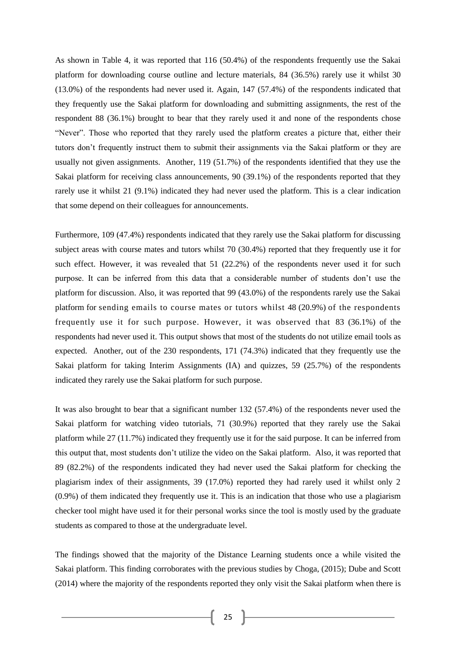As shown in Table 4, it was reported that 116 (50.4%) of the respondents frequently use the Sakai platform for downloading course outline and lecture materials, 84 (36.5%) rarely use it whilst 30 (13.0%) of the respondents had never used it. Again, 147 (57.4%) of the respondents indicated that they frequently use the Sakai platform for downloading and submitting assignments, the rest of the respondent 88 (36.1%) brought to bear that they rarely used it and none of the respondents chose "Never". Those who reported that they rarely used the platform creates a picture that, either their tutors don't frequently instruct them to submit their assignments via the Sakai platform or they are usually not given assignments. Another, 119 (51.7%) of the respondents identified that they use the Sakai platform for receiving class announcements, 90 (39.1%) of the respondents reported that they rarely use it whilst 21 (9.1%) indicated they had never used the platform. This is a clear indication that some depend on their colleagues for announcements.

Furthermore, 109 (47.4%) respondents indicated that they rarely use the Sakai platform for discussing subject areas with course mates and tutors whilst 70 (30.4%) reported that they frequently use it for such effect. However, it was revealed that 51 (22.2%) of the respondents never used it for such purpose. It can be inferred from this data that a considerable number of students don't use the platform for discussion. Also, it was reported that 99 (43.0%) of the respondents rarely use the Sakai platform for sending emails to course mates or tutors whilst 48 (20.9%) of the respondents frequently use it for such purpose. However, it was observed that 83 (36.1%) of the respondents had never used it. This output shows that most of the students do not utilize email tools as expected. Another, out of the 230 respondents, 171 (74.3%) indicated that they frequently use the Sakai platform for taking Interim Assignments (IA) and quizzes, 59 (25.7%) of the respondents indicated they rarely use the Sakai platform for such purpose.

It was also brought to bear that a significant number 132 (57.4%) of the respondents never used the Sakai platform for watching video tutorials, 71 (30.9%) reported that they rarely use the Sakai platform while 27 (11.7%) indicated they frequently use it for the said purpose. It can be inferred from this output that, most students don't utilize the video on the Sakai platform. Also, it was reported that 89 (82.2%) of the respondents indicated they had never used the Sakai platform for checking the plagiarism index of their assignments, 39 (17.0%) reported they had rarely used it whilst only 2 (0.9%) of them indicated they frequently use it. This is an indication that those who use a plagiarism checker tool might have used it for their personal works since the tool is mostly used by the graduate students as compared to those at the undergraduate level.

The findings showed that the majority of the Distance Learning students once a while visited the Sakai platform. This finding corroborates with the previous studies by Choga, (2015); Dube and Scott (2014) where the majority of the respondents reported they only visit the Sakai platform when there is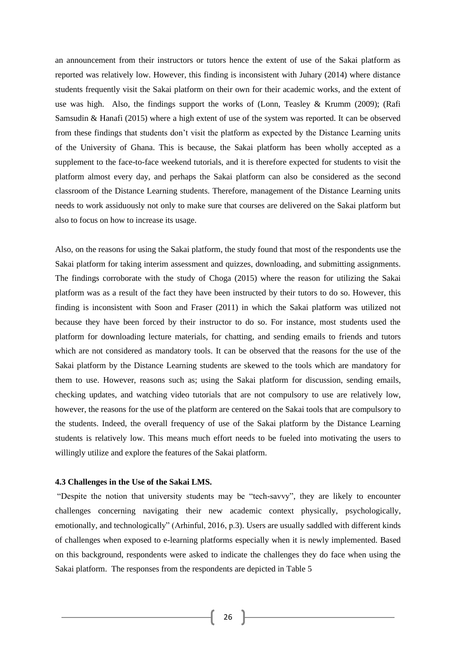an announcement from their instructors or tutors hence the extent of use of the Sakai platform as reported was relatively low. However, this finding is inconsistent with Juhary (2014) where distance students frequently visit the Sakai platform on their own for their academic works, and the extent of use was high. Also, the findings support the works of (Lonn, Teasley & Krumm (2009); (Rafi Samsudin & Hanafi (2015) where a high extent of use of the system was reported. It can be observed from these findings that students don't visit the platform as expected by the Distance Learning units of the University of Ghana. This is because, the Sakai platform has been wholly accepted as a supplement to the face-to-face weekend tutorials, and it is therefore expected for students to visit the platform almost every day, and perhaps the Sakai platform can also be considered as the second classroom of the Distance Learning students. Therefore, management of the Distance Learning units needs to work assiduously not only to make sure that courses are delivered on the Sakai platform but also to focus on how to increase its usage.

Also, on the reasons for using the Sakai platform, the study found that most of the respondents use the Sakai platform for taking interim assessment and quizzes, downloading, and submitting assignments. The findings corroborate with the study of Choga (2015) where the reason for utilizing the Sakai platform was as a result of the fact they have been instructed by their tutors to do so. However, this finding is inconsistent with Soon and Fraser (2011) in which the Sakai platform was utilized not because they have been forced by their instructor to do so. For instance, most students used the platform for downloading lecture materials, for chatting, and sending emails to friends and tutors which are not considered as mandatory tools. It can be observed that the reasons for the use of the Sakai platform by the Distance Learning students are skewed to the tools which are mandatory for them to use. However, reasons such as; using the Sakai platform for discussion, sending emails, checking updates, and watching video tutorials that are not compulsory to use are relatively low, however, the reasons for the use of the platform are centered on the Sakai tools that are compulsory to the students. Indeed, the overall frequency of use of the Sakai platform by the Distance Learning students is relatively low. This means much effort needs to be fueled into motivating the users to willingly utilize and explore the features of the Sakai platform.

# **4.3 Challenges in the Use of the Sakai LMS.**

"Despite the notion that university students may be "tech-savvy", they are likely to encounter challenges concerning navigating their new academic context physically, psychologically, emotionally, and technologically" (Arhinful, 2016, p.3). Users are usually saddled with different kinds of challenges when exposed to e-learning platforms especially when it is newly implemented. Based on this background, respondents were asked to indicate the challenges they do face when using the Sakai platform. The responses from the respondents are depicted in Table 5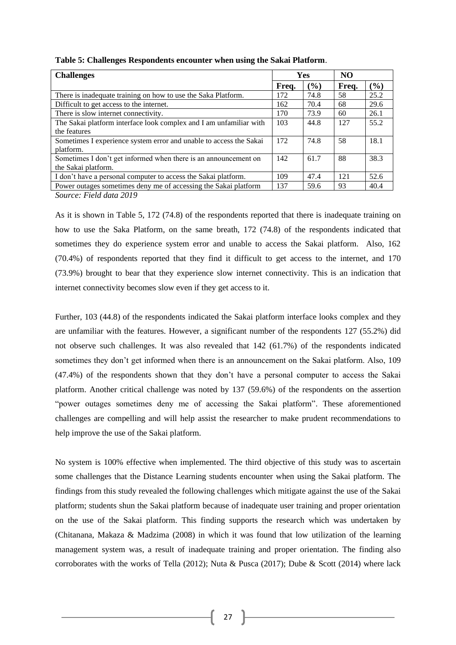| <b>Challenges</b>                                                  | <b>Yes</b> |       | NO.   |      |
|--------------------------------------------------------------------|------------|-------|-------|------|
|                                                                    | Freq.      | (9/0) | Freq. | (%)  |
| There is inadequate training on how to use the Saka Platform.      | 172        | 74.8  | 58    | 25.2 |
| Difficult to get access to the internet.                           | 162        | 70.4  | 68    | 29.6 |
| There is slow internet connectivity.                               | 170        | 73.9  | 60    | 26.1 |
| The Sakai platform interface look complex and I am unfamiliar with | 103        | 44.8  | 127   | 55.2 |
| the features                                                       |            |       |       |      |
| Sometimes I experience system error and unable to access the Sakai | 172        | 74.8  | 58    | 18.1 |
| platform.                                                          |            |       |       |      |
| Sometimes I don't get informed when there is an announcement on    | 142        | 61.7  | 88    | 38.3 |
| the Sakai platform.                                                |            |       |       |      |
| I don't have a personal computer to access the Sakai platform.     | 109        | 47.4  | 121   | 52.6 |
| Power outages sometimes deny me of accessing the Sakai platform    | 137        | 59.6  | 93    | 40.4 |

**Table 5: Challenges Respondents encounter when using the Sakai Platform**.

*Source: Field data 2019*

As it is shown in Table 5, 172 (74.8) of the respondents reported that there is inadequate training on how to use the Saka Platform, on the same breath, 172 (74.8) of the respondents indicated that sometimes they do experience system error and unable to access the Sakai platform. Also, 162 (70.4%) of respondents reported that they find it difficult to get access to the internet, and 170 (73.9%) brought to bear that they experience slow internet connectivity. This is an indication that internet connectivity becomes slow even if they get access to it.

Further, 103 (44.8) of the respondents indicated the Sakai platform interface looks complex and they are unfamiliar with the features. However, a significant number of the respondents 127 (55.2%) did not observe such challenges. It was also revealed that 142 (61.7%) of the respondents indicated sometimes they don't get informed when there is an announcement on the Sakai platform. Also, 109 (47.4%) of the respondents shown that they don't have a personal computer to access the Sakai platform. Another critical challenge was noted by 137 (59.6%) of the respondents on the assertion "power outages sometimes deny me of accessing the Sakai platform". These aforementioned challenges are compelling and will help assist the researcher to make prudent recommendations to help improve the use of the Sakai platform.

No system is 100% effective when implemented. The third objective of this study was to ascertain some challenges that the Distance Learning students encounter when using the Sakai platform. The findings from this study revealed the following challenges which mitigate against the use of the Sakai platform; students shun the Sakai platform because of inadequate user training and proper orientation on the use of the Sakai platform. This finding supports the research which was undertaken by (Chitanana, Makaza & Madzima (2008) in which it was found that low utilization of the learning management system was, a result of inadequate training and proper orientation. The finding also corroborates with the works of Tella (2012); Nuta & Pusca (2017); Dube & Scott (2014) where lack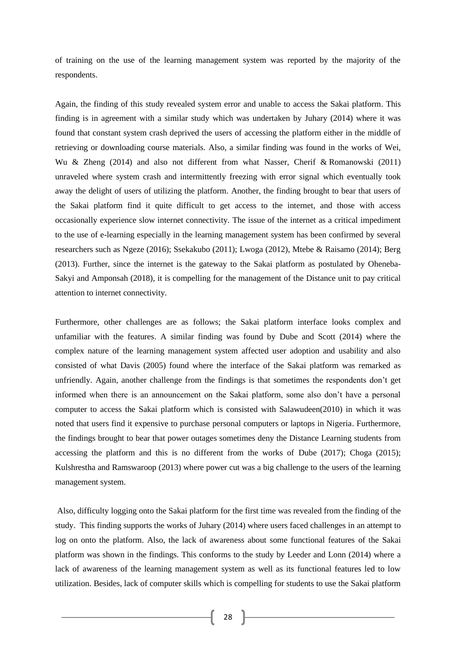of training on the use of the learning management system was reported by the majority of the respondents.

Again, the finding of this study revealed system error and unable to access the Sakai platform. This finding is in agreement with a similar study which was undertaken by Juhary (2014) where it was found that constant system crash deprived the users of accessing the platform either in the middle of retrieving or downloading course materials. Also, a similar finding was found in the works of Wei, Wu & Zheng (2014) and also not different from what Nasser, Cherif & Romanowski (2011) unraveled where system crash and intermittently freezing with error signal which eventually took away the delight of users of utilizing the platform. Another, the finding brought to bear that users of the Sakai platform find it quite difficult to get access to the internet, and those with access occasionally experience slow internet connectivity. The issue of the internet as a critical impediment to the use of e-learning especially in the learning management system has been confirmed by several researchers such as Ngeze (2016); Ssekakubo (2011); Lwoga (2012), Mtebe & Raisamo (2014); Berg (2013). Further, since the internet is the gateway to the Sakai platform as postulated by Oheneba-Sakyi and Amponsah (2018), it is compelling for the management of the Distance unit to pay critical attention to internet connectivity.

Furthermore, other challenges are as follows; the Sakai platform interface looks complex and unfamiliar with the features. A similar finding was found by Dube and Scott (2014) where the complex nature of the learning management system affected user adoption and usability and also consisted of what Davis (2005) found where the interface of the Sakai platform was remarked as unfriendly. Again, another challenge from the findings is that sometimes the respondents don't get informed when there is an announcement on the Sakai platform, some also don't have a personal computer to access the Sakai platform which is consisted with Salawudeen(2010) in which it was noted that users find it expensive to purchase personal computers or laptops in Nigeria. Furthermore, the findings brought to bear that power outages sometimes deny the Distance Learning students from accessing the platform and this is no different from the works of Dube (2017); Choga (2015); Kulshrestha and Ramswaroop (2013) where power cut was a big challenge to the users of the learning management system.

Also, difficulty logging onto the Sakai platform for the first time was revealed from the finding of the study. This finding supports the works of Juhary (2014) where users faced challenges in an attempt to log on onto the platform. Also, the lack of awareness about some functional features of the Sakai platform was shown in the findings. This conforms to the study by Leeder and Lonn (2014) where a lack of awareness of the learning management system as well as its functional features led to low utilization. Besides, lack of computer skills which is compelling for students to use the Sakai platform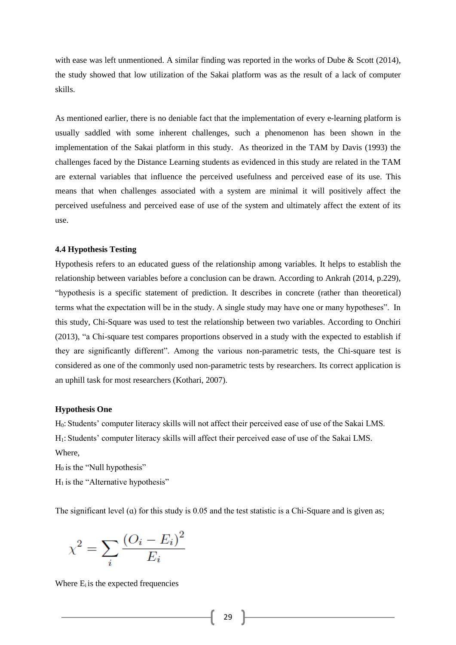with ease was left unmentioned. A similar finding was reported in the works of Dube & Scott (2014), the study showed that low utilization of the Sakai platform was as the result of a lack of computer skills.

As mentioned earlier, there is no deniable fact that the implementation of every e-learning platform is usually saddled with some inherent challenges, such a phenomenon has been shown in the implementation of the Sakai platform in this study. As theorized in the TAM by Davis (1993) the challenges faced by the Distance Learning students as evidenced in this study are related in the TAM are external variables that influence the perceived usefulness and perceived ease of its use. This means that when challenges associated with a system are minimal it will positively affect the perceived usefulness and perceived ease of use of the system and ultimately affect the extent of its use.

# **4.4 Hypothesis Testing**

Hypothesis refers to an educated guess of the relationship among variables. It helps to establish the relationship between variables before a conclusion can be drawn. According to Ankrah (2014, p.229), "hypothesis is a specific statement of prediction. It describes in concrete (rather than theoretical) terms what the expectation will be in the study. A single study may have one or many hypotheses". In this study, Chi-Square was used to test the relationship between two variables. According to Onchiri (2013), "a Chi-square test compares proportions observed in a study with the expected to establish if they are significantly different". Among the various non-parametric tests, the Chi-square test is considered as one of the commonly used non-parametric tests by researchers. Its correct application is an uphill task for most researchers (Kothari, 2007).

#### **Hypothesis One**

H0: Students' computer literacy skills will not affect their perceived ease of use of the Sakai LMS. H1: Students' computer literacy skills will affect their perceived ease of use of the Sakai LMS. Where,

 $H<sub>0</sub>$  is the "Null hypothesis"

 $H<sub>1</sub>$  is the "Alternative hypothesis"

The significant level (a) for this study is 0.05 and the test statistic is a Chi-Square and is given as;

$$
\chi^2 = \sum_{i} \frac{(O_i - E_i)^2}{E_i}
$$

Where  $E_i$  is the expected frequencies

29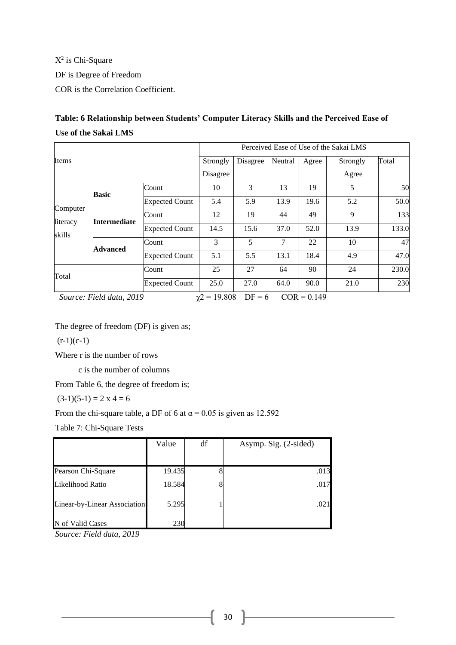$X^2$  is Chi-Square DF is Degree of Freedom COR is the Correlation Coefficient.

# **Table: 6 Relationship between Students' Computer Literacy Skills and the Perceived Ease of Use of the Sakai LMS**

|                    |                                             |                       | Perceived Ease of Use of the Sakai LMS |          |         |               |          |       |  |
|--------------------|---------------------------------------------|-----------------------|----------------------------------------|----------|---------|---------------|----------|-------|--|
| Items              |                                             |                       | Strongly                               | Disagree | Neutral | Agree         | Strongly | Total |  |
|                    |                                             |                       | Disagree                               |          |         |               | Agree    |       |  |
|                    | <b>Basic</b>                                | Count                 | 10                                     | 3        | 13      | 19            | 5        | 50    |  |
| Computer           |                                             | <b>Expected Count</b> | 5.4                                    | 5.9      | 13.9    | 19.6          | 5.2      | 50.0  |  |
| literacy<br>skills | <b>Intermediate</b>                         | Count                 | 12                                     | 19       | 44      | 49            | 9        | 133   |  |
|                    |                                             | <b>Expected Count</b> | 14.5                                   | 15.6     | 37.0    | 52.0          | 13.9     | 133.0 |  |
|                    | Advanced                                    | Count                 | 3                                      | 5        | 7       | 22            | 10       | 47    |  |
|                    |                                             | <b>Expected Count</b> | 5.1                                    | 5.5      | 13.1    | 18.4          | 4.9      | 47.0  |  |
| Total              |                                             | Count                 | 25                                     | 27       | 64      | 90            | 24       | 230.0 |  |
|                    |                                             | <b>Expected Count</b> | 90.0<br>25.0<br>27.0<br>64.0<br>21.0   |          |         |               |          |       |  |
|                    | $S_{\text{out}}$ $E: dJ_{\text{data}}$ 0010 |                       | $.2 - 10.000$                          | $DE = 6$ |         | $COD = 0.140$ |          |       |  |

*Source: Field data, 2019*  $\chi$ <sup>2</sup> = 19.808  $DF = 6$   $COR = 0.149$ 

The degree of freedom (DF) is given as;

 $(r-1)(c-1)$ 

Where r is the number of rows

c is the number of columns

From Table 6, the degree of freedom is;

 $(3-1)(5-1) = 2 \times 4 = 6$ 

From the chi-square table, a DF of 6 at  $\alpha$  = 0.05 is given as 12.592

Table 7: Chi-Square Tests

|                              | Value  | df | Asymp. Sig. (2-sided) |
|------------------------------|--------|----|-----------------------|
|                              |        |    |                       |
| Pearson Chi-Square           | 19.435 |    | .013                  |
| Likelihood Ratio             | 18.584 |    | .017                  |
| Linear-by-Linear Association | 5.295  |    | .021                  |
| N of Valid Cases             | 230    |    |                       |

*Source: Field data, 2019*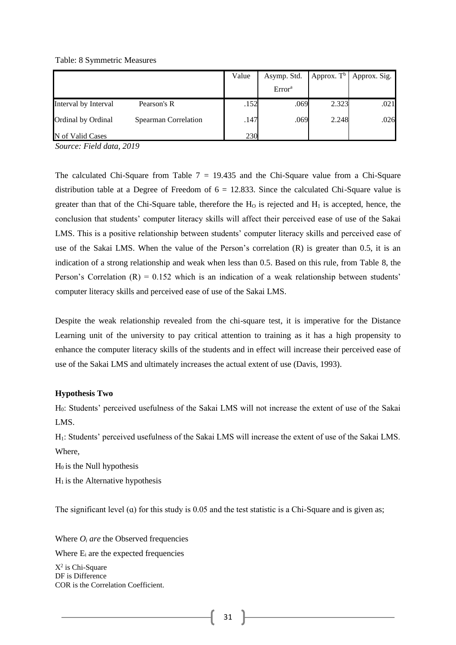#### Table: 8 Symmetric Measures

|                      |                      | Value | Asymp. Std.        |       | Approx. $T^b$   Approx. Sig. |
|----------------------|----------------------|-------|--------------------|-------|------------------------------|
|                      |                      |       | Error <sup>a</sup> |       |                              |
| Interval by Interval | Pearson's R          | .152  | .069               | 2.323 | .021                         |
| Ordinal by Ordinal   | Spearman Correlation | .147  | .069               | 2.248 | .026                         |
| N of Valid Cases     |                      | 230   |                    |       |                              |

*Source: Field data, 2019*

The calculated Chi-Square from Table  $7 = 19.435$  and the Chi-Square value from a Chi-Square distribution table at a Degree of Freedom of  $6 = 12.833$ . Since the calculated Chi-Square value is greater than that of the Chi-Square table, therefore the  $H_0$  is rejected and  $H_1$  is accepted, hence, the conclusion that students' computer literacy skills will affect their perceived ease of use of the Sakai LMS. This is a positive relationship between students' computer literacy skills and perceived ease of use of the Sakai LMS. When the value of the Person's correlation (R) is greater than 0.5, it is an indication of a strong relationship and weak when less than 0.5. Based on this rule, from Table 8, the Person's Correlation  $(R) = 0.152$  which is an indication of a weak relationship between students' computer literacy skills and perceived ease of use of the Sakai LMS.

Despite the weak relationship revealed from the chi-square test, it is imperative for the Distance Learning unit of the university to pay critical attention to training as it has a high propensity to enhance the computer literacy skills of the students and in effect will increase their perceived ease of use of the Sakai LMS and ultimately increases the actual extent of use (Davis, 1993).

# **Hypothesis Two**

H0: Students' perceived usefulness of the Sakai LMS will not increase the extent of use of the Sakai LMS.

H1: Students' perceived usefulness of the Sakai LMS will increase the extent of use of the Sakai LMS. Where,

 $H<sub>0</sub>$  is the Null hypothesis

 $H<sub>1</sub>$  is the Alternative hypothesis

The significant level (a) for this study is  $0.05$  and the test statistic is a Chi-Square and is given as;

Where  $O_i$  *are* the Observed frequencies

Where  $E_i$  are the expected frequencies

Χ2 is Chi-Square DF is Difference COR is the Correlation Coefficient.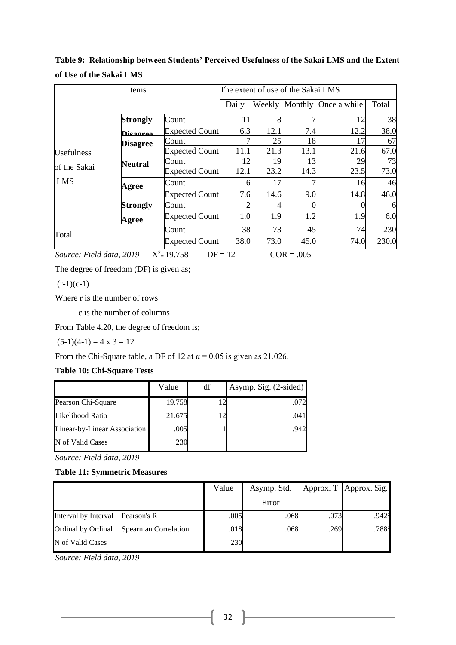|                   | Items           |                       |       | The extent of use of the Sakai LMS |      |                      |       |  |  |
|-------------------|-----------------|-----------------------|-------|------------------------------------|------|----------------------|-------|--|--|
|                   |                 |                       | Daily | Weekly                             |      | Monthly Once a while | Total |  |  |
|                   | <b>Strongly</b> | Count                 | 11    |                                    |      | 12                   | 38    |  |  |
|                   | Disagree        | <b>Expected Count</b> | 6.3   | 12.1                               | 7.4  | 12.2                 | 38.0  |  |  |
|                   | <b>Disagree</b> | Count                 |       | 25                                 | 18   |                      | 67    |  |  |
| <b>Usefulness</b> |                 | <b>Expected Count</b> | 11.1  | 21.3                               | 13.1 | 21.6                 | 67.0  |  |  |
|                   | Neutral         | Count                 | 12    | 19                                 | 13   | 29                   | 73    |  |  |
| of the Sakai      |                 | <b>Expected Count</b> | 12.1  | 23.2                               | 14.3 | 23.5                 | 73.0  |  |  |
| <b>LMS</b>        | Agree           | Count                 | h     | 17                                 | ┑    | 16                   | 46    |  |  |
|                   |                 | <b>Expected Count</b> | 7.6   | 14.6                               | 9.0  | 14.8                 | 46.0  |  |  |
|                   | <b>Strongly</b> | Count                 |       |                                    |      |                      | 6     |  |  |
|                   | Agree           | <b>Expected Count</b> | 1.0   | 1.9                                | 1.2  | 1.9                  | 6.0   |  |  |
| Total             |                 | Count                 | 38    | 73                                 | 45   | 74                   | 230   |  |  |
|                   |                 | <b>Expected Count</b> | 38.0  | 73.0                               | 45.0 | 74.0                 | 230.0 |  |  |

**Table 9: Relationship between Students' Perceived Usefulness of the Sakai LMS and the Extent of Use of the Sakai LMS** 

*Source: Field data, 2019*  $X^2 = 19.758$  DF = 12 COR = .005

The degree of freedom (DF) is given as;

 $(r-1)(c-1)$ 

Where r is the number of rows

c is the number of columns

From Table 4.20, the degree of freedom is;

 $(5-1)(4-1) = 4 \times 3 = 12$ 

From the Chi-Square table, a DF of 12 at  $\alpha$  = 0.05 is given as 21.026.

# **Table 10: Chi-Square Tests**

|                              | Value  | df            | Asymp. Sig. (2-sided) |
|------------------------------|--------|---------------|-----------------------|
| Pearson Chi-Square           | 19.758 | $\mathcal{D}$ | .072.                 |
| Likelihood Ratio             | 21.675 | 12            | .041                  |
| Linear-by-Linear Association | .005   |               | .942                  |
| N of Valid Cases             | 230    |               |                       |

*Source: Field data, 2019*

# **Table 11: Symmetric Measures**

|                                  |                             | Value | Asymp. Std. |      | Approx. T   Approx. Sig. |
|----------------------------------|-----------------------------|-------|-------------|------|--------------------------|
|                                  |                             |       | Error       |      |                          |
| Interval by Interval Pearson's R |                             | .005  | .068        | .073 | .942 <sup>c</sup>        |
| Ordinal by Ordinal               | <b>Spearman Correlation</b> | .018  | .068        | .269 | .788c                    |
| N of Valid Cases                 |                             | 230   |             |      |                          |

*Source: Field data, 2019*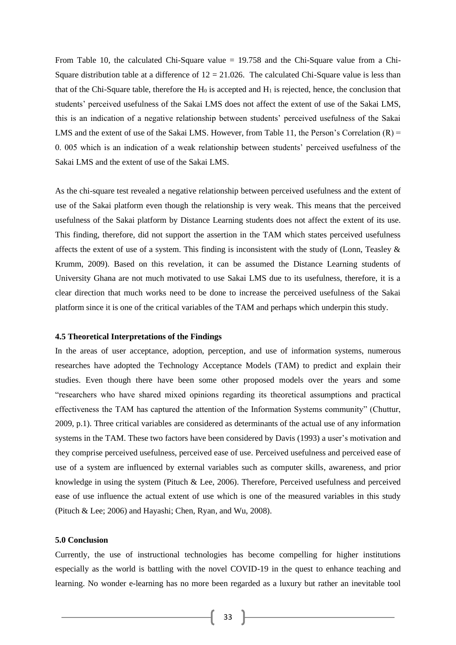From Table 10, the calculated Chi-Square value = 19.758 and the Chi-Square value from a Chi-Square distribution table at a difference of  $12 = 21.026$ . The calculated Chi-Square value is less than that of the Chi-Square table, therefore the  $H_0$  is accepted and  $H_1$  is rejected, hence, the conclusion that students' perceived usefulness of the Sakai LMS does not affect the extent of use of the Sakai LMS, this is an indication of a negative relationship between students' perceived usefulness of the Sakai LMS and the extent of use of the Sakai LMS. However, from Table 11, the Person's Correlation  $(R)$  = 0. 005 which is an indication of a weak relationship between students' perceived usefulness of the Sakai LMS and the extent of use of the Sakai LMS.

As the chi-square test revealed a negative relationship between perceived usefulness and the extent of use of the Sakai platform even though the relationship is very weak. This means that the perceived usefulness of the Sakai platform by Distance Learning students does not affect the extent of its use. This finding, therefore, did not support the assertion in the TAM which states perceived usefulness affects the extent of use of a system. This finding is inconsistent with the study of (Lonn, Teasley  $\&$ Krumm, 2009). Based on this revelation, it can be assumed the Distance Learning students of University Ghana are not much motivated to use Sakai LMS due to its usefulness, therefore, it is a clear direction that much works need to be done to increase the perceived usefulness of the Sakai platform since it is one of the critical variables of the TAM and perhaps which underpin this study.

#### **4.5 Theoretical Interpretations of the Findings**

In the areas of user acceptance, adoption, perception, and use of information systems, numerous researches have adopted the Technology Acceptance Models (TAM) to predict and explain their studies. Even though there have been some other proposed models over the years and some "researchers who have shared mixed opinions regarding its theoretical assumptions and practical effectiveness the TAM has captured the attention of the Information Systems community" (Chuttur, 2009, p.1). Three critical variables are considered as determinants of the actual use of any information systems in the TAM. These two factors have been considered by Davis (1993) a user's motivation and they comprise perceived usefulness, perceived ease of use. Perceived usefulness and perceived ease of use of a system are influenced by external variables such as computer skills, awareness, and prior knowledge in using the system (Pituch & Lee, 2006). Therefore, Perceived usefulness and perceived ease of use influence the actual extent of use which is one of the measured variables in this study (Pituch & Lee; 2006) and Hayashi; Chen, Ryan, and Wu, 2008).

# **5.0 Conclusion**

Currently, the use of instructional technologies has become compelling for higher institutions especially as the world is battling with the novel COVID-19 in the quest to enhance teaching and learning. No wonder e-learning has no more been regarded as a luxury but rather an inevitable tool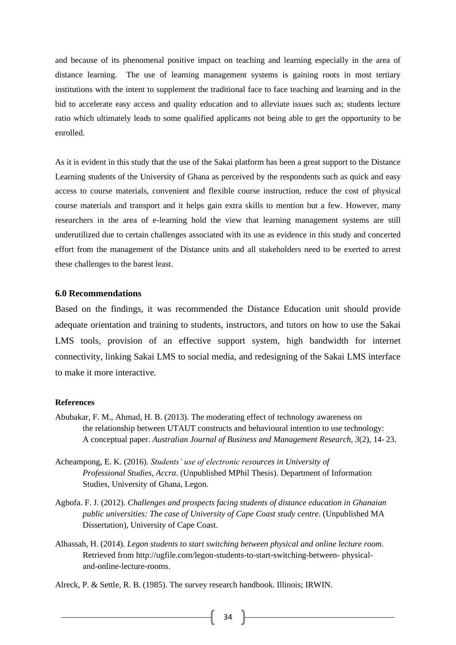and because of its phenomenal positive impact on teaching and learning especially in the area of distance learning. The use of learning management systems is gaining roots in most tertiary institutions with the intent to supplement the traditional face to face teaching and learning and in the bid to accelerate easy access and quality education and to alleviate issues such as; students lecture ratio which ultimately leads to some qualified applicants not being able to get the opportunity to be enrolled.

As it is evident in this study that the use of the Sakai platform has been a great support to the Distance Learning students of the University of Ghana as perceived by the respondents such as quick and easy access to course materials, convenient and flexible course instruction, reduce the cost of physical course materials and transport and it helps gain extra skills to mention but a few. However, many researchers in the area of e-learning hold the view that learning management systems are still underutilized due to certain challenges associated with its use as evidence in this study and concerted effort from the management of the Distance units and all stakeholders need to be exerted to arrest these challenges to the barest least.

# **6.0 Recommendations**

Based on the findings, it was recommended the Distance Education unit should provide adequate orientation and training to students, instructors, and tutors on how to use the Sakai LMS tools, provision of an effective support system, high bandwidth for internet connectivity, linking Sakai LMS to social media, and redesigning of the Sakai LMS interface to make it more interactive*.*

# **References**

- Abubakar, F. M., Ahmad, H. B. (2013). The moderating effect of technology awareness on the relationship between UTAUT constructs and behavioural intention to use technology: A conceptual paper. *Australian Journal of Business and Management Research, 3*(2), 14- 23.
- Acheampong, E. K. (2016). *Students' use of electronic resources in University of Professional Studies, Accra*. (Unpublished MPhil Thesis). Department of Information Studies, University of Ghana, Legon.
- Agbofa. F. J. (2012). *Challenges and prospects facing students of distance education in Ghanaian public universities: The case of University of Cape Coast study centre*. (Unpublished MA Dissertation), University of Cape Coast.
- Alhassah, H. (2014). *Legon students to start switching between physical and online lecture room.*  Retrieved from http://ugfile.com/legon-students-to-start-switching-between- physicaland-online-lecture-rooms.

Alreck, P. & Settle, R. B. (1985). The survey research handbook. Illinois; IRWIN.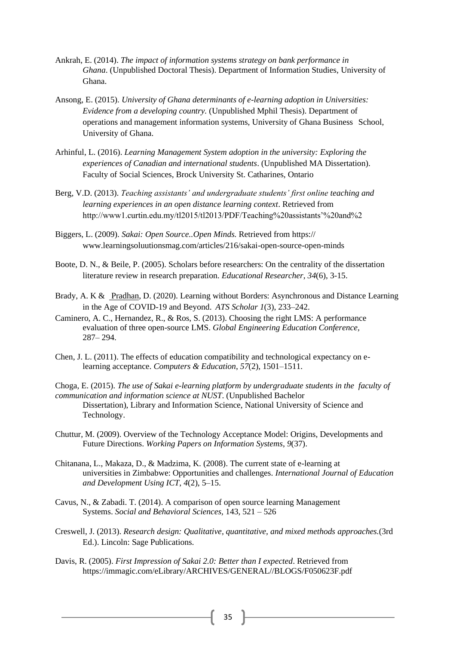- Ankrah, E. (2014). *The impact of information systems strategy on bank performance in Ghana*. (Unpublished Doctoral Thesis). Department of Information Studies, University of Ghana.
- Ansong, E. (2015). *University of Ghana determinants of e-learning adoption in Universities: Evidence from a developing country.* (Unpublished Mphil Thesis). Department of operations and management information systems, University of Ghana Business School, University of Ghana.
- Arhinful, L. (2016). *Learning Management System adoption in the university: Exploring the experiences of Canadian and international students*. (Unpublished MA Dissertation). Faculty of Social Sciences, Brock University St. Catharines, Ontario
- Berg, V.D. (2013). *Teaching assistants' and undergraduate students' first online teaching and learning experiences in an open distance learning context*. Retrieved from [http://www1.curtin.edu.my/tl2015/tl2013/PDF/Teaching%20assistants'%20and%2](http://www1.curtin.edu.my/tl2015/tl2013/PDF/Teaching%20assistants)
- Biggers, L. (2009). *Sakai: Open Source..Open Minds.* Retrieved from https:// www.learningsoluutionsmag.com/articles/216/sakai-open-source-open-minds
- Boote, D. N., & Beile, P. (2005). Scholars before researchers: On the centrality of the dissertation literature review in research preparation. *Educational Researcher*, *34*(6), 3-15.
- Brady, A. K & [Pradhan,](https://www.atsjournals.org/author/Pradhan%2C+Deepak) D. (2020). Learning without Borders: Asynchronous and Distance Learning in the Age of COVID-19 and Beyond. *ATS Scholar 1*(3), 233–242.
- Caminero, A. C., Hernandez, R., & Ros, S. (2013). Choosing the right LMS: A performance evaluation of three open-source LMS. *Global Engineering Education Conference,*  287– 294.
- Chen, J. L. (2011). The effects of education compatibility and technological expectancy on elearning acceptance. *Computers & Education*, *57*(2), 1501–1511.
- Choga, E. (2015). *The use of Sakai e-learning platform by undergraduate students in the faculty of communication and information science at NUST*. (Unpublished Bachelor Dissertation), Library and Information Science, National University of Science and Technology.
- Chuttur, M. (2009). Overview of the Technology Acceptance Model: Origins, Developments and Future Directions. *Working Papers on Information Systems*, *9*(37).
- Chitanana, L., Makaza, D., & Madzima, K. (2008). The current state of e-learning at universities in Zimbabwe: Opportunities and challenges. *International Journal of Education and Development Using ICT*, *4*(2), 5–15.
- Cavus, N., & Zabadi. T. (2014). A comparison of open source learning Management Systems. *Social and Behavioral Sciences,* 143, 521 – 526
- Creswell, J. (2013). *Research design: Qualitative, quantitative, and mixed methods approaches.*(3rd Ed.). Lincoln: Sage Publications.
- Davis, R. (2005). *First Impression of Sakai 2.0: Better than I expected*. Retrieved from [https://immagic.com/eLibrary/ARCHIVES/GENERAL//BLOGS/F050623F.pdf](https://immagic.com/eLibrary/ARCHIVES/GENERAL/BLOGS/F050623F.pdf)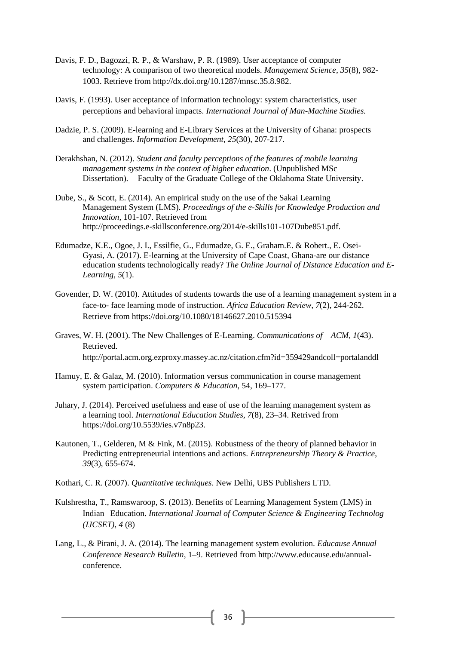- Davis, F. D., Bagozzi, R. P., & Warshaw, P. R. (1989). User acceptance of computer technology: A comparison of two theoretical models. *Management Science*, *35*(8), 982- 1003. Retrieve from http://dx.doi.org/10.1287/mnsc.35.8.982.
- Davis, F. (1993). User acceptance of information technology: system characteristics, user perceptions and behavioral impacts. *International Journal of Man-Machine Studies.*
- Dadzie, P. S. (2009). E-learning and E-Library Services at the University of Ghana: prospects and challenges. *Information Development, 25*(30), 207-217.
- Derakhshan, N. (2012). *Student and faculty perceptions of the features of mobile learning management systems in the context of higher education*. (Unpublished MSc Dissertation). Faculty of the Graduate College of the Oklahoma State University.
- Dube, S., & Scott, E. (2014). An empirical study on the use of the Sakai Learning Management System (LMS). *Proceedings of the e-Skills for Knowledge Production and Innovation,* 101-107. Retrieved from [http://proceedings.e-s](http://proceedings.e-/)killsconference.org/2014/e-skills101-107Dube851.pdf.
- Edumadze, K.E., Ogoe, J. I., Essilfie, G., Edumadze, G. E., Graham.E. & Robert., E. Osei-Gyasi, A. (2017). E-learning at the University of Cape Coast, Ghana-are our distance education students technologically ready? *The Online Journal of Distance Education and E-Learning, 5*(1).
- Govender, D. W. (2010). Attitudes of students towards the use of a learning management system in a face-to- face learning mode of instruction. *Africa Education Review, 7*(2), 244-262. Retrieve from<https://doi.org/10.1080/18146627.2010.515394>
- Graves, W. H. (2001). The New Challenges of E-Learning. *Communications of ACM*, *1*(43). Retrieved. <http://portal.acm.org.ezproxy.massey.ac.nz/citation.cfm?id=359429andcoll=portalanddl>
- Hamuy, E. & Galaz, M. (2010). Information versus communication in course management system participation. *Computers & Education*, 54, 169–177.
- Juhary, J. (2014). Perceived usefulness and ease of use of the learning management system as a learning tool. *International Education Studies, 7*(8), 23–34. Retrived from [https://doi.org/10.5539/ies.v7n8p23.](https://doi.org/10.5539/ies.v7n8p23)
- Kautonen, T., Gelderen, M & Fink, M. (2015). Robustness of the theory of planned behavior in Predicting entrepreneurial intentions and actions. *Entrepreneurship Theory & Practice*, *39*(3), 655-674.
- Kothari, C. R. (2007). *Quantitative techniques*. New Delhi, UBS Publishers LTD.
- Kulshrestha, T., Ramswaroop, S. (2013). Benefits of Learning Management System (LMS) in Indian Education. *International Journal of Computer Science & Engineering Technolog (IJCSET)*, *4* (8)
- Lang, L., & Pirani, J. A. (2014). The learning management system evolution. *Educause Annual Conference Research Bulletin*, 1–9. Retrieved from [http://www.educause.edu/annual](http://www.educause.edu/annual-)conference.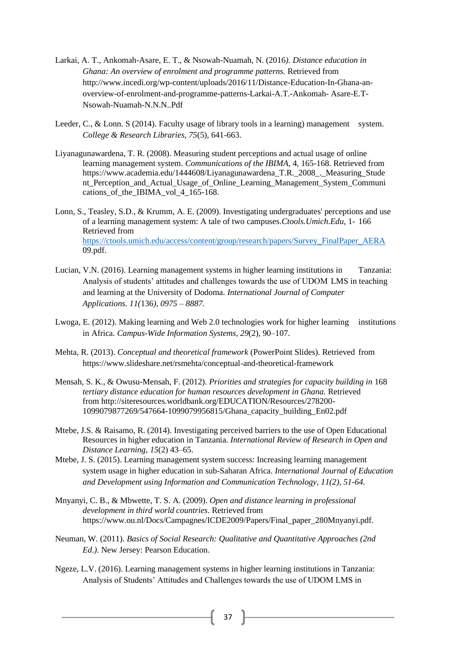- Larkai, A. T., Ankomah-Asare, E. T., & Nsowah-Nuamah, N. (2016*). Distance education in Ghana: An overview of enrolment and programme patterns.* Retrieved from [http://www.incedi.org/wp-c](http://www.incedi.org/wp-)ontent/uploads/2016/11/Distance-Education-In-Ghana-anoverview-of-enrolment-and-programme-patterns-Larkai-A.T.-Ankomah- Asare-E.T-Nsowah-Nuamah-N.N.N..Pdf
- Leeder, C., & Lonn. S (2014). Faculty usage of library tools in a learning) management system. *College & Research Libraries, 75*(5), 641-663.
- Liyanagunawardena, T. R. (2008). Measuring student perceptions and actual usage of online learning management system. *Communications of the IBIMA*, 4, 165-168. Retrieved from https://www.academia.edu/1444608/Liyanagunawardena\_T.R.\_2008\_. Measuring\_Stude nt Perception and Actual Usage of Online Learning Management System Communi cations\_of\_the\_IBIMA\_vol\_4\_165-168.

Lonn, S., Teasley, S.D., & Krumm, A. E. (2009). Investigating undergraduates' perceptions and use of a learning management system: A tale of two campuses.*Ctools.Umich.Edu,* 1- 166 Retrieved from [https://ctools.umich.edu/access/content/group/research/papers/Survey\\_FinalPaper\\_AERA](https://ctools.umich.edu/access/content/group/research/papers/Survey_FinalPaper_AERA) 09.pdf.

- Lucian, V.N. (2016). Learning management systems in higher learning institutions in Tanzania: Analysis of students' attitudes and challenges towards the use of UDOM LMS in teaching and learning at the University of Dodoma. *International Journal of Computer Applications. 11(*136*), 0975 – 8887.*
- Lwoga, E. (2012). Making learning and Web 2.0 technologies work for higher learning institutions in Africa. *Campus-Wide Information Systems*, *29*(2), 90–107.
- Mehta, R. (2013). *Conceptual and theoretical framework* (PowerPoint Slides)*.* Retrieved from <https://www.slideshare.net/rsmehta/conceptual-and-theoretical-framework>
- Mensah, S. K., & Owusu-Mensah, F. (2012). *Priorities and strategies for capacity building in* 168 *tertiary distance education for human resources development in Ghana.* Retrieved from<http://siteresources.worldbank.org/EDUCATION/Resources/278200-> 1099079877269/547664-1099079956815/Ghana\_capacity\_building\_En02.pdf
- Mtebe, J.S. & Raisamo, R. (2014). Investigating perceived barriers to the use of Open Educational Resources in higher education in Tanzania. *International Review of Research in Open and Distance Learning*, *15*(2) 43–65.
- Mtebe, J. S. (2015). Learning management system success: Increasing learning management system usage in higher education in sub-Saharan Africa. *International Journal of Education and Development using Information and Communication Technology, 11(2), 51-64.*
- Mnyanyi, C. B., & Mbwette, T. S. A. (2009). *Open and distance learning in professional development in third world countries*. Retrieved from https://www.ou.nl/Docs/Campagnes/ICDE2009/Papers/Final\_paper\_280Mnyanyi.pdf.
- Neuman, W. (2011). *Basics of Social Research: Qualitative and Quantitative Approaches (2nd Ed.).* New Jersey: Pearson Education.
- Ngeze, L.V. (2016). Learning management systems in higher learning institutions in Tanzania: Analysis of Students' Attitudes and Challenges towards the use of UDOM LMS in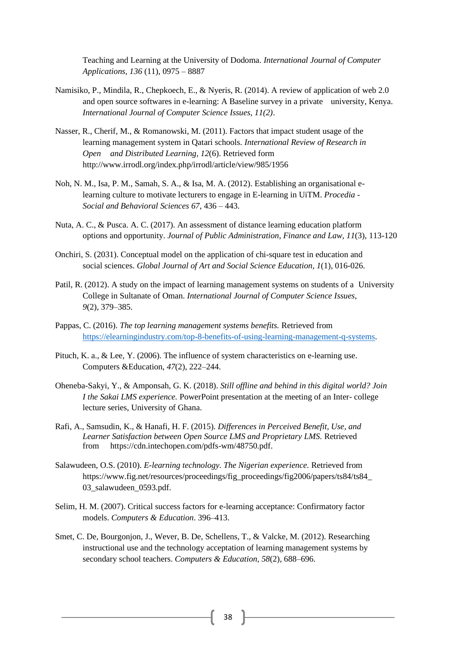Teaching and Learning at the University of Dodoma. *International Journal of Computer Applications, 136* (11), 0975 – 8887

- Namisiko, P., Mindila, R., Chepkoech, E., & Nyeris, R. (2014). A review of application of web 2.0 and open source softwares in e-learning: A Baseline survey in a private university, Kenya. *International Journal of Computer Science Issues, 11(2)*.
- Nasser, R., Cherif, M., & Romanowski, M. (2011). Factors that impact student usage of the learning management system in Qatari schools. *International Review of Research in Open and Distributed Learning*, *12*(6). Retrieved form <http://www.irrodl.org/index.php/irrodl/article/view/985/1956>
- Noh, N. M., Isa, P. M., Samah, S. A., & Isa, M. A. (2012). Establishing an organisational elearning culture to motivate lecturers to engage in E-learning in UiTM. *Procedia - Social and Behavioral Sciences 67*, 436 – 443.
- Nuta, A. C., & Pusca. A. C. (2017). An assessment of distance learning education platform options and opportunity. *Journal of Public Administration, Finance and Law, 11*(3), 113-120
- Onchiri, S. (2031). Conceptual model on the application of chi-square test in education and social sciences. *Global Journal of Art and Social Science Education, 1*(1), 016-026.
- Patil, R. (2012). A study on the impact of learning management systems on students of a University College in Sultanate of Oman. *International Journal of Computer Science Issues, 9*(2), 379–385.
- Pappas, C. (2016). *The top learning management systems benefits.* Retrieved from [https://elearningindustry.com/top-8-benefits-of-using-learning-management-q-systems.](https://elearningindustry.com/top-8-benefits-of-using-learning-management-q-systems)
- Pituch, K. a., & Lee, Y. (2006). The influence of system characteristics on e-learning use. Computers &Education, *47*(2), 222–244.
- Oheneba-Sakyi, Y., & Amponsah, G. K. (2018). *Still offline and behind in this digital world? Join I the Sakai LMS experience.* PowerPoint presentation at the meeting of an Inter- college lecture series, University of Ghana.
- Rafi, A., Samsudin, K., & Hanafi, H. F. (2015). *Differences in Perceived Benefit, Use, and Learner Satisfaction between Open Source LMS and Proprietary LMS.* Retrieved from [https://cdn.intechopen.com/pdfs-wm/48750.pdf.](https://cdn.intechopen.com/pdfs-wm/48750.pdf)
- Salawudeen, O.S. (2010). *E-learning technology. The Nigerian experience.* Retrieved from [https://www.fig.net/resources/proceedings/fig\\_proceedings/fig2006/papers/ts84/ts84\\_](https://www.fig.net/resources/proceedings/fig_proceedings/fig2006/papers/ts84/ts84_03_) [03\\_s](https://www.fig.net/resources/proceedings/fig_proceedings/fig2006/papers/ts84/ts84_03_)alawudeen\_0593.pdf.
- Selim, H. M. (2007). Critical success factors for e-learning acceptance: Confirmatory factor models. *Computers & Education*. 396–413.
- Smet, C. De, Bourgonjon, J., Wever, B. De, Schellens, T., & Valcke, M. (2012). Researching instructional use and the technology acceptation of learning management systems by secondary school teachers. *Computers & Education, 58*(2), 688–696.